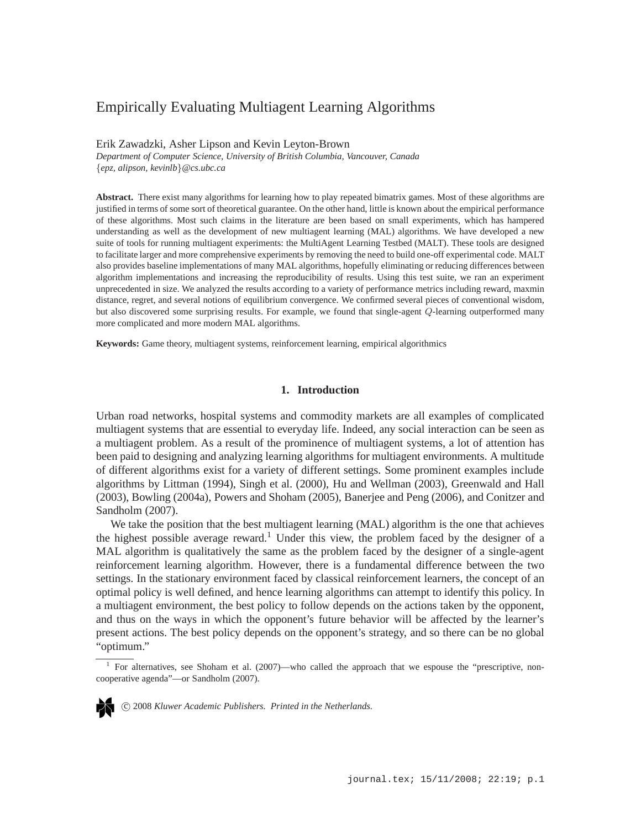# Empirically Evaluating Multiagent Learning Algorithms

# Erik Zawadzki, Asher Lipson and Kevin Leyton-Brown

*Department of Computer Science, University of British Columbia, Vancouver, Canada* {*epz, alipson, kevinlb*}*@cs.ubc.ca*

**Abstract.** There exist many algorithms for learning how to play repeated bimatrix games. Most of these algorithms are justified in terms of some sort of theoretical guarantee. On the other hand, little is known about the empirical performance of these algorithms. Most such claims in the literature are been based on small experiments, which has hampered understanding as well as the development of new multiagent learning (MAL) algorithms. We have developed a new suite of tools for running multiagent experiments: the MultiAgent Learning Testbed (MALT). These tools are designed to facilitate larger and more comprehensive experiments by removing the need to build one-off experimental code. MALT also provides baseline implementations of many MAL algorithms, hopefully eliminating or reducing differences between algorithm implementations and increasing the reproducibility of results. Using this test suite, we ran an experiment unprecedented in size. We analyzed the results according to a variety of performance metrics including reward, maxmin distance, regret, and several notions of equilibrium convergence. We confirmed several pieces of conventional wisdom, but also discovered some surprising results. For example, we found that single-agent Q-learning outperformed many more complicated and more modern MAL algorithms.

**Keywords:** Game theory, multiagent systems, reinforcement learning, empirical algorithmics

### **1. Introduction**

Urban road networks, hospital systems and commodity markets are all examples of complicated multiagent systems that are essential to everyday life. Indeed, any social interaction can be seen as a multiagent problem. As a result of the prominence of multiagent systems, a lot of attention has been paid to designing and analyzing learning algorithms for multiagent environments. A multitude of different algorithms exist for a variety of different settings. Some prominent examples include algorithms by Littman (1994), Singh et al. (2000), Hu and Wellman (2003), Greenwald and Hall (2003), Bowling (2004a), Powers and Shoham (2005), Banerjee and Peng (2006), and Conitzer and Sandholm (2007).

We take the position that the best multiagent learning (MAL) algorithm is the one that achieves the highest possible average reward.<sup>1</sup> Under this view, the problem faced by the designer of a MAL algorithm is qualitatively the same as the problem faced by the designer of a single-agent reinforcement learning algorithm. However, there is a fundamental difference between the two settings. In the stationary environment faced by classical reinforcement learners, the concept of an optimal policy is well defined, and hence learning algorithms can attempt to identify this policy. In a multiagent environment, the best policy to follow depends on the actions taken by the opponent, and thus on the ways in which the opponent's future behavior will be affected by the learner's present actions. The best policy depends on the opponent's strategy, and so there can be no global "optimum."

<sup>1</sup> For alternatives, see Shoham et al. (2007)—who called the approach that we espouse the "prescriptive, noncooperative agenda"—or Sandholm (2007).

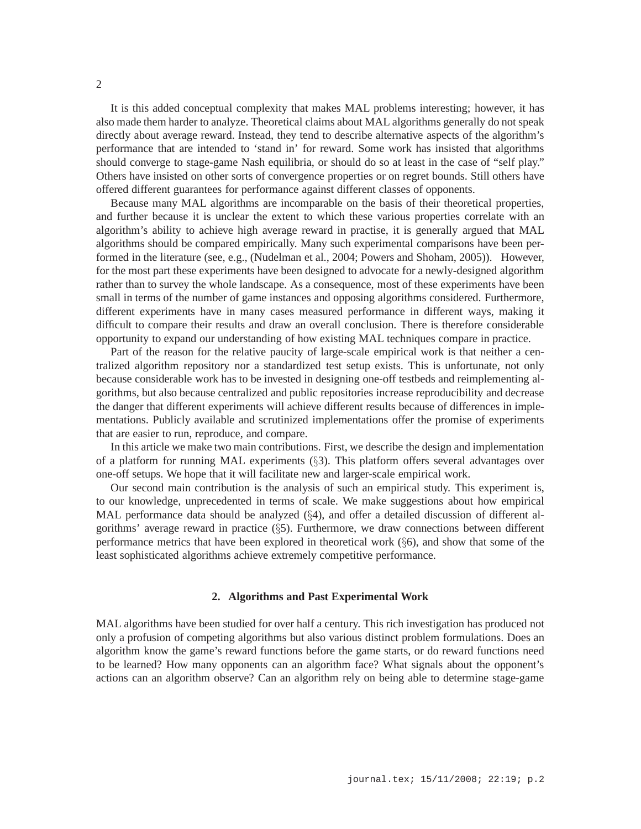It is this added conceptual complexity that makes MAL problems interesting; however, it has also made them harder to analyze. Theoretical claims about MAL algorithms generally do not speak directly about average reward. Instead, they tend to describe alternative aspects of the algorithm's performance that are intended to 'stand in' for reward. Some work has insisted that algorithms should converge to stage-game Nash equilibria, or should do so at least in the case of "self play." Others have insisted on other sorts of convergence properties or on regret bounds. Still others have offered different guarantees for performance against different classes of opponents.

Because many MAL algorithms are incomparable on the basis of their theoretical properties, and further because it is unclear the extent to which these various properties correlate with an algorithm's ability to achieve high average reward in practise, it is generally argued that MAL algorithms should be compared empirically. Many such experimental comparisons have been performed in the literature (see, e.g., (Nudelman et al., 2004; Powers and Shoham, 2005)). However, for the most part these experiments have been designed to advocate for a newly-designed algorithm rather than to survey the whole landscape. As a consequence, most of these experiments have been small in terms of the number of game instances and opposing algorithms considered. Furthermore, different experiments have in many cases measured performance in different ways, making it difficult to compare their results and draw an overall conclusion. There is therefore considerable opportunity to expand our understanding of how existing MAL techniques compare in practice.

Part of the reason for the relative paucity of large-scale empirical work is that neither a centralized algorithm repository nor a standardized test setup exists. This is unfortunate, not only because considerable work has to be invested in designing one-off testbeds and reimplementing algorithms, but also because centralized and public repositories increase reproducibility and decrease the danger that different experiments will achieve different results because of differences in implementations. Publicly available and scrutinized implementations offer the promise of experiments that are easier to run, reproduce, and compare.

In this article we make two main contributions. First, we describe the design and implementation of a platform for running MAL experiments (§3). This platform offers several advantages over one-off setups. We hope that it will facilitate new and larger-scale empirical work.

Our second main contribution is the analysis of such an empirical study. This experiment is, to our knowledge, unprecedented in terms of scale. We make suggestions about how empirical MAL performance data should be analyzed (§4), and offer a detailed discussion of different algorithms' average reward in practice (§5). Furthermore, we draw connections between different performance metrics that have been explored in theoretical work  $(\S6)$ , and show that some of the least sophisticated algorithms achieve extremely competitive performance.

#### **2. Algorithms and Past Experimental Work**

MAL algorithms have been studied for over half a century. This rich investigation has produced not only a profusion of competing algorithms but also various distinct problem formulations. Does an algorithm know the game's reward functions before the game starts, or do reward functions need to be learned? How many opponents can an algorithm face? What signals about the opponent's actions can an algorithm observe? Can an algorithm rely on being able to determine stage-game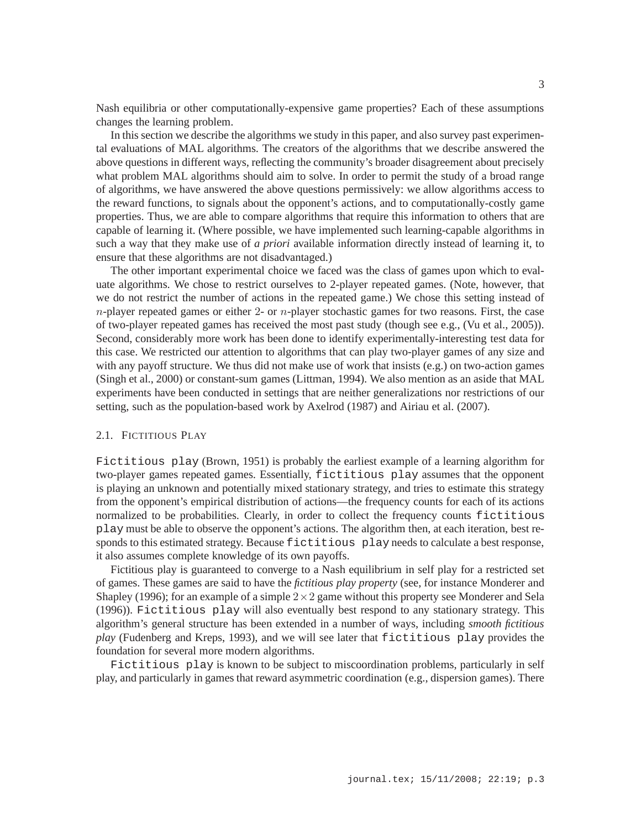Nash equilibria or other computationally-expensive game properties? Each of these assumptions changes the learning problem.

In this section we describe the algorithms we study in this paper, and also survey past experimental evaluations of MAL algorithms. The creators of the algorithms that we describe answered the above questions in different ways, reflecting the community's broader disagreement about precisely what problem MAL algorithms should aim to solve. In order to permit the study of a broad range of algorithms, we have answered the above questions permissively: we allow algorithms access to the reward functions, to signals about the opponent's actions, and to computationally-costly game properties. Thus, we are able to compare algorithms that require this information to others that are capable of learning it. (Where possible, we have implemented such learning-capable algorithms in such a way that they make use of *a priori* available information directly instead of learning it, to ensure that these algorithms are not disadvantaged.)

The other important experimental choice we faced was the class of games upon which to evaluate algorithms. We chose to restrict ourselves to 2-player repeated games. (Note, however, that we do not restrict the number of actions in the repeated game.) We chose this setting instead of  $n$ -player repeated games or either 2- or  $n$ -player stochastic games for two reasons. First, the case of two-player repeated games has received the most past study (though see e.g., (Vu et al., 2005)). Second, considerably more work has been done to identify experimentally-interesting test data for this case. We restricted our attention to algorithms that can play two-player games of any size and with any payoff structure. We thus did not make use of work that insists (e.g.) on two-action games (Singh et al., 2000) or constant-sum games (Littman, 1994). We also mention as an aside that MAL experiments have been conducted in settings that are neither generalizations nor restrictions of our setting, such as the population-based work by Axelrod (1987) and Airiau et al. (2007).

# 2.1. FICTITIOUS PLAY

Fictitious play (Brown, 1951) is probably the earliest example of a learning algorithm for two-player games repeated games. Essentially, fictitious play assumes that the opponent is playing an unknown and potentially mixed stationary strategy, and tries to estimate this strategy from the opponent's empirical distribution of actions—the frequency counts for each of its actions normalized to be probabilities. Clearly, in order to collect the frequency counts fictitious play must be able to observe the opponent's actions. The algorithm then, at each iteration, best responds to this estimated strategy. Because fictitious play needs to calculate a best response, it also assumes complete knowledge of its own payoffs.

Fictitious play is guaranteed to converge to a Nash equilibrium in self play for a restricted set of games. These games are said to have the *fictitious play property* (see, for instance Monderer and Shapley (1996); for an example of a simple  $2 \times 2$  game without this property see Monderer and Sela (1996)). Fictitious play will also eventually best respond to any stationary strategy. This algorithm's general structure has been extended in a number of ways, including *smooth fictitious play* (Fudenberg and Kreps, 1993), and we will see later that fictitious play provides the foundation for several more modern algorithms.

Fictitious play is known to be subject to miscoordination problems, particularly in self play, and particularly in games that reward asymmetric coordination (e.g., dispersion games). There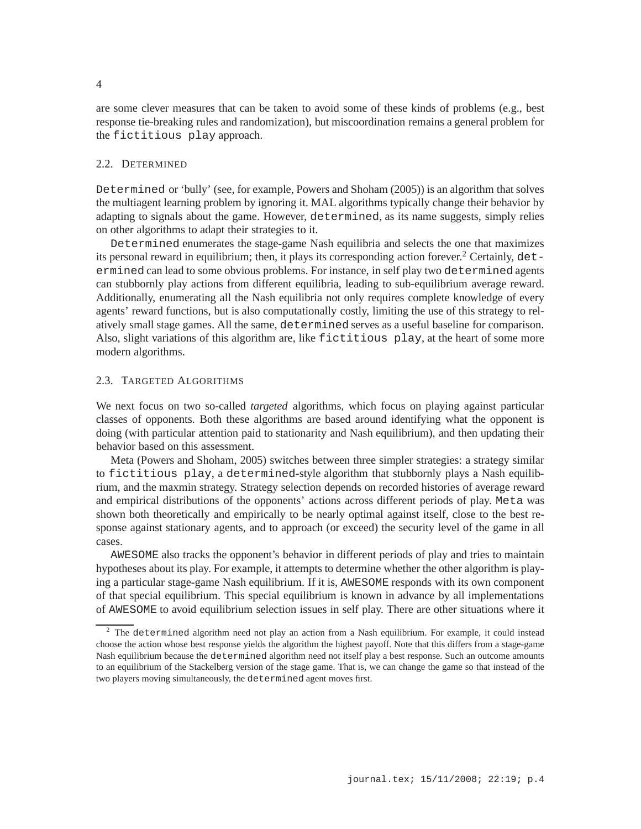are some clever measures that can be taken to avoid some of these kinds of problems (e.g., best response tie-breaking rules and randomization), but miscoordination remains a general problem for the fictitious play approach.

# 2.2. DETERMINED

Determined or 'bully' (see, for example, Powers and Shoham (2005)) is an algorithm that solves the multiagent learning problem by ignoring it. MAL algorithms typically change their behavior by adapting to signals about the game. However, determined, as its name suggests, simply relies on other algorithms to adapt their strategies to it.

Determined enumerates the stage-game Nash equilibria and selects the one that maximizes its personal reward in equilibrium; then, it plays its corresponding action forever.<sup>2</sup> Certainly,  $det$ ermined can lead to some obvious problems. For instance, in self play two determined agents can stubbornly play actions from different equilibria, leading to sub-equilibrium average reward. Additionally, enumerating all the Nash equilibria not only requires complete knowledge of every agents' reward functions, but is also computationally costly, limiting the use of this strategy to relatively small stage games. All the same, determined serves as a useful baseline for comparison. Also, slight variations of this algorithm are, like fictitious play, at the heart of some more modern algorithms.

# 2.3. TARGETED ALGORITHMS

We next focus on two so-called *targeted* algorithms, which focus on playing against particular classes of opponents. Both these algorithms are based around identifying what the opponent is doing (with particular attention paid to stationarity and Nash equilibrium), and then updating their behavior based on this assessment.

Meta (Powers and Shoham, 2005) switches between three simpler strategies: a strategy similar to fictitious play, a determined-style algorithm that stubbornly plays a Nash equilibrium, and the maxmin strategy. Strategy selection depends on recorded histories of average reward and empirical distributions of the opponents' actions across different periods of play. Meta was shown both theoretically and empirically to be nearly optimal against itself, close to the best response against stationary agents, and to approach (or exceed) the security level of the game in all cases.

AWESOME also tracks the opponent's behavior in different periods of play and tries to maintain hypotheses about its play. For example, it attempts to determine whether the other algorithm is playing a particular stage-game Nash equilibrium. If it is, AWESOME responds with its own component of that special equilibrium. This special equilibrium is known in advance by all implementations of AWESOME to avoid equilibrium selection issues in self play. There are other situations where it

<sup>&</sup>lt;sup>2</sup> The determined algorithm need not play an action from a Nash equilibrium. For example, it could instead choose the action whose best response yields the algorithm the highest payoff. Note that this differs from a stage-game Nash equilibrium because the determined algorithm need not itself play a best response. Such an outcome amounts to an equilibrium of the Stackelberg version of the stage game. That is, we can change the game so that instead of the two players moving simultaneously, the determined agent moves first.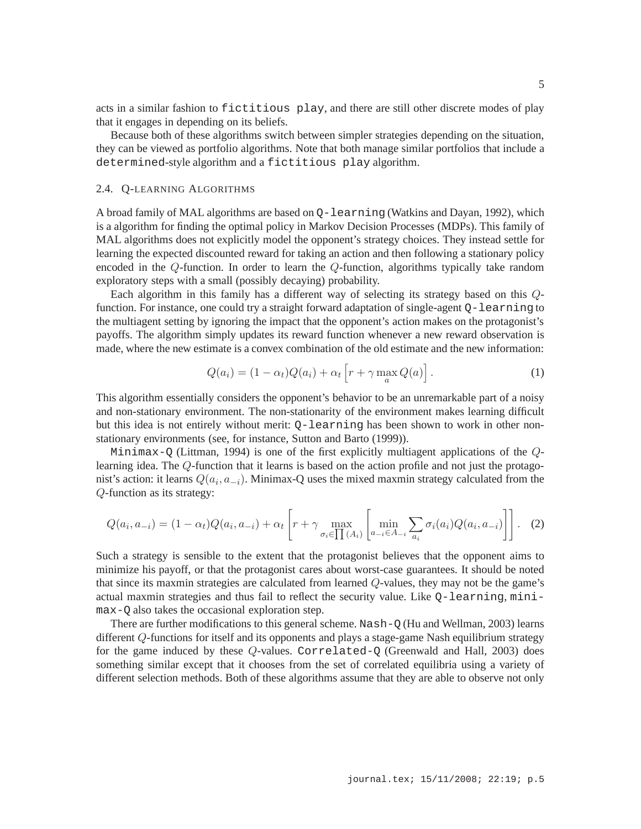acts in a similar fashion to fictitious play, and there are still other discrete modes of play that it engages in depending on its beliefs.

Because both of these algorithms switch between simpler strategies depending on the situation, they can be viewed as portfolio algorithms. Note that both manage similar portfolios that include a determined-style algorithm and a fictitious play algorithm.

# 2.4. Q-LEARNING ALGORITHMS

A broad family of MAL algorithms are based on Q-learning (Watkins and Dayan, 1992), which is a algorithm for finding the optimal policy in Markov Decision Processes (MDPs). This family of MAL algorithms does not explicitly model the opponent's strategy choices. They instead settle for learning the expected discounted reward for taking an action and then following a stationary policy encoded in the Q-function. In order to learn the Q-function, algorithms typically take random exploratory steps with a small (possibly decaying) probability.

Each algorithm in this family has a different way of selecting its strategy based on this Qfunction. For instance, one could try a straight forward adaptation of single-agent Q-learning to the multiagent setting by ignoring the impact that the opponent's action makes on the protagonist's payoffs. The algorithm simply updates its reward function whenever a new reward observation is made, where the new estimate is a convex combination of the old estimate and the new information:

$$
Q(a_i) = (1 - \alpha_t)Q(a_i) + \alpha_t \left[ r + \gamma \max_a Q(a) \right].
$$
 (1)

This algorithm essentially considers the opponent's behavior to be an unremarkable part of a noisy and non-stationary environment. The non-stationarity of the environment makes learning difficult but this idea is not entirely without merit: Q-learning has been shown to work in other nonstationary environments (see, for instance, Sutton and Barto (1999)).

Minimax-Q (Littman, 1994) is one of the first explicitly multiagent applications of the  $Q$ learning idea. The Q-function that it learns is based on the action profile and not just the protagonist's action: it learns  $Q(a_i, a_{-i})$ . Minimax-Q uses the mixed maxmin strategy calculated from the Q-function as its strategy:

$$
Q(a_i, a_{-i}) = (1 - \alpha_t)Q(a_i, a_{-i}) + \alpha_t \left[ r + \gamma \max_{\sigma_i \in \prod(A_i)} \left[ \min_{a_{-i} \in A_{-i}} \sum_{a_i} \sigma_i(a_i) Q(a_i, a_{-i}) \right] \right].
$$
 (2)

Such a strategy is sensible to the extent that the protagonist believes that the opponent aims to minimize his payoff, or that the protagonist cares about worst-case guarantees. It should be noted that since its maxmin strategies are calculated from learned Q-values, they may not be the game's actual maxmin strategies and thus fail to reflect the security value. Like Q-learning, minimax-Q also takes the occasional exploration step.

There are further modifications to this general scheme. Nash- $\circ$  (Hu and Wellman, 2003) learns different Q-functions for itself and its opponents and plays a stage-game Nash equilibrium strategy for the game induced by these Q-values. Correlated-Q (Greenwald and Hall, 2003) does something similar except that it chooses from the set of correlated equilibria using a variety of different selection methods. Both of these algorithms assume that they are able to observe not only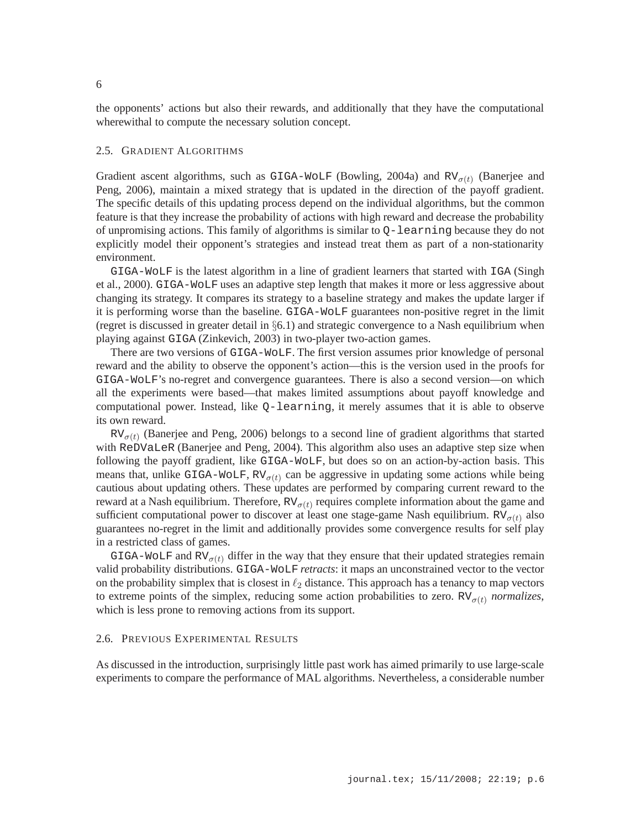the opponents' actions but also their rewards, and additionally that they have the computational wherewithal to compute the necessary solution concept.

### 2.5. GRADIENT ALGORITHMS

Gradient ascent algorithms, such as GIGA-WOLF (Bowling, 2004a) and  $RV_{\sigma(t)}$  (Banerjee and Peng, 2006), maintain a mixed strategy that is updated in the direction of the payoff gradient. The specific details of this updating process depend on the individual algorithms, but the common feature is that they increase the probability of actions with high reward and decrease the probability of unpromising actions. This family of algorithms is similar to Q-learning because they do not explicitly model their opponent's strategies and instead treat them as part of a non-stationarity environment.

GIGA-WoLF is the latest algorithm in a line of gradient learners that started with IGA (Singh et al., 2000). GIGA-WoLF uses an adaptive step length that makes it more or less aggressive about changing its strategy. It compares its strategy to a baseline strategy and makes the update larger if it is performing worse than the baseline. GIGA-WoLF guarantees non-positive regret in the limit (regret is discussed in greater detail in  $\S6.1$ ) and strategic convergence to a Nash equilibrium when playing against GIGA (Zinkevich, 2003) in two-player two-action games.

There are two versions of GIGA-WoLF. The first version assumes prior knowledge of personal reward and the ability to observe the opponent's action—this is the version used in the proofs for GIGA-WoLF's no-regret and convergence guarantees. There is also a second version—on which all the experiments were based—that makes limited assumptions about payoff knowledge and computational power. Instead, like Q-learning, it merely assumes that it is able to observe its own reward.

 $RV_{\sigma(t)}$  (Banerjee and Peng, 2006) belongs to a second line of gradient algorithms that started with ReDVaLeR (Banerjee and Peng, 2004). This algorithm also uses an adaptive step size when following the payoff gradient, like GIGA-WoLF, but does so on an action-by-action basis. This means that, unlike GIGA-WOLF,  $RV_{\sigma(t)}$  can be aggressive in updating some actions while being cautious about updating others. These updates are performed by comparing current reward to the reward at a Nash equilibrium. Therefore,  $RV_{\sigma(t)}$  requires complete information about the game and sufficient computational power to discover at least one stage-game Nash equilibrium.  $RV_{\sigma(t)}$  also guarantees no-regret in the limit and additionally provides some convergence results for self play in a restricted class of games.

GIGA-WOLF and RV $_{\sigma(t)}$  differ in the way that they ensure that their updated strategies remain valid probability distributions. GIGA-WoLF *retracts*: it maps an unconstrained vector to the vector on the probability simplex that is closest in  $\ell_2$  distance. This approach has a tenancy to map vectors to extreme points of the simplex, reducing some action probabilities to zero.  $RV_{\sigma(t)}$  *normalizes*, which is less prone to removing actions from its support.

# 2.6. PREVIOUS EXPERIMENTAL RESULTS

As discussed in the introduction, surprisingly little past work has aimed primarily to use large-scale experiments to compare the performance of MAL algorithms. Nevertheless, a considerable number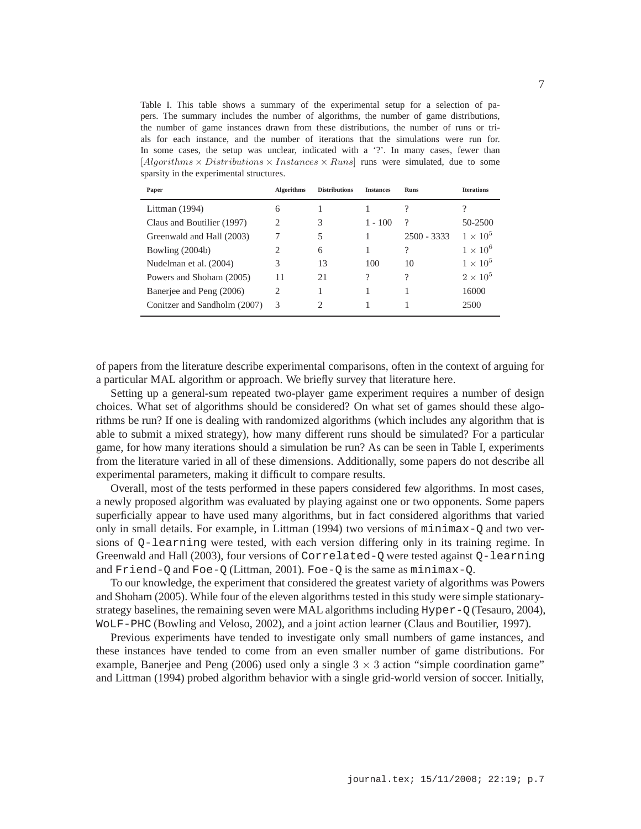Table I. This table shows a summary of the experimental setup for a selection of papers. The summary includes the number of algorithms, the number of game distributions, the number of game instances drawn from these distributions, the number of runs or trials for each instance, and the number of iterations that the simulations were run for. In some cases, the setup was unclear, indicated with a '?'. In many cases, fewer than [Algorithms  $\times$  Distributions  $\times$  Instances  $\times$  Runs] runs were simulated, due to some sparsity in the experimental structures.

| Paper                        | <b>Algorithms</b> | <b>Distributions</b> | <b>Instances</b> | <b>Runs</b>              | <b>Iterations</b> |
|------------------------------|-------------------|----------------------|------------------|--------------------------|-------------------|
| Littman $(1994)$             | 6                 |                      |                  |                          |                   |
| Claus and Boutilier (1997)   | 2                 | 3                    | $1 - 100$        | ?                        | 50-2500           |
| Greenwald and Hall (2003)    |                   | 5                    |                  | $2500 - 3333$            | $1 \times 10^5$   |
| Bowling (2004b)              | 2                 | 6                    |                  | $\gamma$                 | $1 \times 10^6$   |
| Nudelman et al. (2004)       | 3                 | 13                   | 100              | 10                       | $1 \times 10^5$   |
| Powers and Shoham (2005)     | 11                | 21                   | 9                | $\overline{\mathcal{C}}$ | $2\times10^5$     |
| Banerjee and Peng (2006)     | 2                 |                      |                  |                          | 16000             |
| Conitzer and Sandholm (2007) | 3                 | 2                    |                  |                          | 2500              |

of papers from the literature describe experimental comparisons, often in the context of arguing for a particular MAL algorithm or approach. We briefly survey that literature here.

Setting up a general-sum repeated two-player game experiment requires a number of design choices. What set of algorithms should be considered? On what set of games should these algorithms be run? If one is dealing with randomized algorithms (which includes any algorithm that is able to submit a mixed strategy), how many different runs should be simulated? For a particular game, for how many iterations should a simulation be run? As can be seen in Table I, experiments from the literature varied in all of these dimensions. Additionally, some papers do not describe all experimental parameters, making it difficult to compare results.

Overall, most of the tests performed in these papers considered few algorithms. In most cases, a newly proposed algorithm was evaluated by playing against one or two opponents. Some papers superficially appear to have used many algorithms, but in fact considered algorithms that varied only in small details. For example, in Littman (1994) two versions of  $minimax-Q$  and two versions of Q-learning were tested, with each version differing only in its training regime. In Greenwald and Hall (2003), four versions of Correlated-Q were tested against Q-learning and Friend-Q and Foe-Q (Littman, 2001). Foe-Q is the same as minimax-Q.

To our knowledge, the experiment that considered the greatest variety of algorithms was Powers and Shoham (2005). While four of the eleven algorithms tested in this study were simple stationarystrategy baselines, the remaining seven were MAL algorithms including Hyper-Q (Tesauro, 2004), WoLF-PHC (Bowling and Veloso, 2002), and a joint action learner (Claus and Boutilier, 1997).

Previous experiments have tended to investigate only small numbers of game instances, and these instances have tended to come from an even smaller number of game distributions. For example, Banerjee and Peng (2006) used only a single  $3 \times 3$  action "simple coordination game" and Littman (1994) probed algorithm behavior with a single grid-world version of soccer. Initially,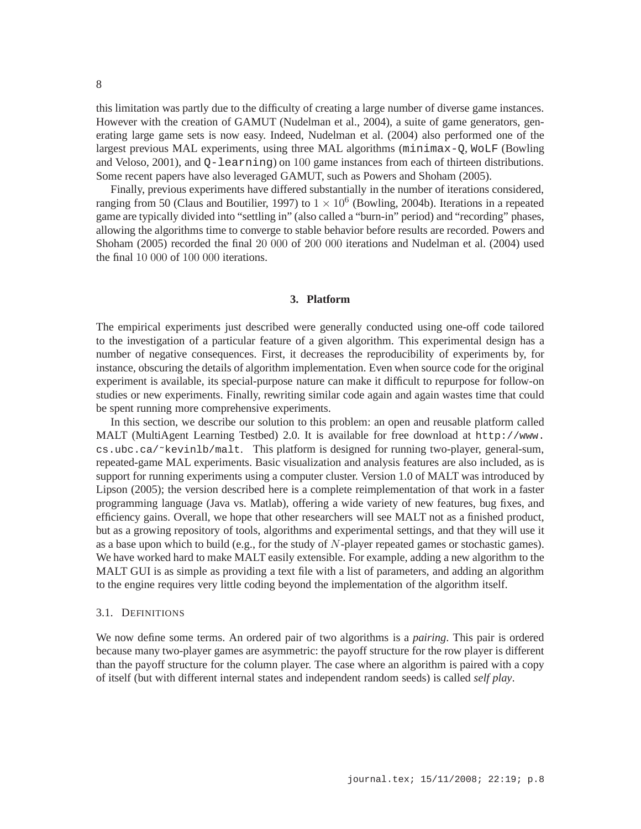this limitation was partly due to the difficulty of creating a large number of diverse game instances. However with the creation of GAMUT (Nudelman et al., 2004), a suite of game generators, generating large game sets is now easy. Indeed, Nudelman et al. (2004) also performed one of the largest previous MAL experiments, using three MAL algorithms (minimax-Q, WoLF (Bowling and Veloso, 2001), and Q-learning) on 100 game instances from each of thirteen distributions. Some recent papers have also leveraged GAMUT, such as Powers and Shoham (2005).

Finally, previous experiments have differed substantially in the number of iterations considered, ranging from 50 (Claus and Boutilier, 1997) to  $1 \times 10^6$  (Bowling, 2004b). Iterations in a repeated game are typically divided into "settling in" (also called a "burn-in" period) and "recording" phases, allowing the algorithms time to converge to stable behavior before results are recorded. Powers and Shoham (2005) recorded the final 20 000 of 200 000 iterations and Nudelman et al. (2004) used the final 10 000 of 100 000 iterations.

# **3. Platform**

The empirical experiments just described were generally conducted using one-off code tailored to the investigation of a particular feature of a given algorithm. This experimental design has a number of negative consequences. First, it decreases the reproducibility of experiments by, for instance, obscuring the details of algorithm implementation. Even when source code for the original experiment is available, its special-purpose nature can make it difficult to repurpose for follow-on studies or new experiments. Finally, rewriting similar code again and again wastes time that could be spent running more comprehensive experiments.

In this section, we describe our solution to this problem: an open and reusable platform called MALT (MultiAgent Learning Testbed) 2.0. It is available for free download at http://www. cs.ubc.ca/˜kevinlb/malt. This platform is designed for running two-player, general-sum, repeated-game MAL experiments. Basic visualization and analysis features are also included, as is support for running experiments using a computer cluster. Version 1.0 of MALT was introduced by Lipson (2005); the version described here is a complete reimplementation of that work in a faster programming language (Java vs. Matlab), offering a wide variety of new features, bug fixes, and efficiency gains. Overall, we hope that other researchers will see MALT not as a finished product, but as a growing repository of tools, algorithms and experimental settings, and that they will use it as a base upon which to build (e.g., for the study of  $N$ -player repeated games or stochastic games). We have worked hard to make MALT easily extensible. For example, adding a new algorithm to the MALT GUI is as simple as providing a text file with a list of parameters, and adding an algorithm to the engine requires very little coding beyond the implementation of the algorithm itself.

### 3.1. DEFINITIONS

We now define some terms. An ordered pair of two algorithms is a *pairing*. This pair is ordered because many two-player games are asymmetric: the payoff structure for the row player is different than the payoff structure for the column player. The case where an algorithm is paired with a copy of itself (but with different internal states and independent random seeds) is called *self play*.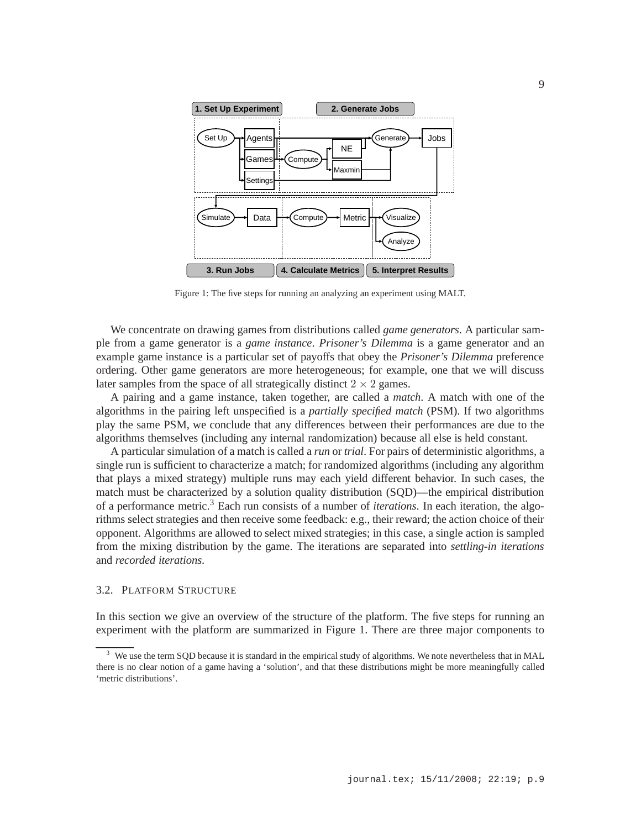

Figure 1: The five steps for running an analyzing an experiment using MALT.

We concentrate on drawing games from distributions called *game generators*. A particular sample from a game generator is a *game instance*. *Prisoner's Dilemma* is a game generator and an example game instance is a particular set of payoffs that obey the *Prisoner's Dilemma* preference ordering. Other game generators are more heterogeneous; for example, one that we will discuss later samples from the space of all strategically distinct  $2 \times 2$  games.

A pairing and a game instance, taken together, are called a *match*. A match with one of the algorithms in the pairing left unspecified is a *partially specified match* (PSM). If two algorithms play the same PSM, we conclude that any differences between their performances are due to the algorithms themselves (including any internal randomization) because all else is held constant.

A particular simulation of a match is called a *run* or *trial*. For pairs of deterministic algorithms, a single run is sufficient to characterize a match; for randomized algorithms (including any algorithm that plays a mixed strategy) multiple runs may each yield different behavior. In such cases, the match must be characterized by a solution quality distribution (SQD)—the empirical distribution of a performance metric.<sup>3</sup> Each run consists of a number of *iterations*. In each iteration, the algorithms select strategies and then receive some feedback: e.g., their reward; the action choice of their opponent. Algorithms are allowed to select mixed strategies; in this case, a single action is sampled from the mixing distribution by the game. The iterations are separated into *settling-in iterations* and *recorded iterations*.

# 3.2. PLATFORM STRUCTURE

In this section we give an overview of the structure of the platform. The five steps for running an experiment with the platform are summarized in Figure 1. There are three major components to

We use the term SQD because it is standard in the empirical study of algorithms. We note nevertheless that in MAL there is no clear notion of a game having a 'solution', and that these distributions might be more meaningfully called 'metric distributions'.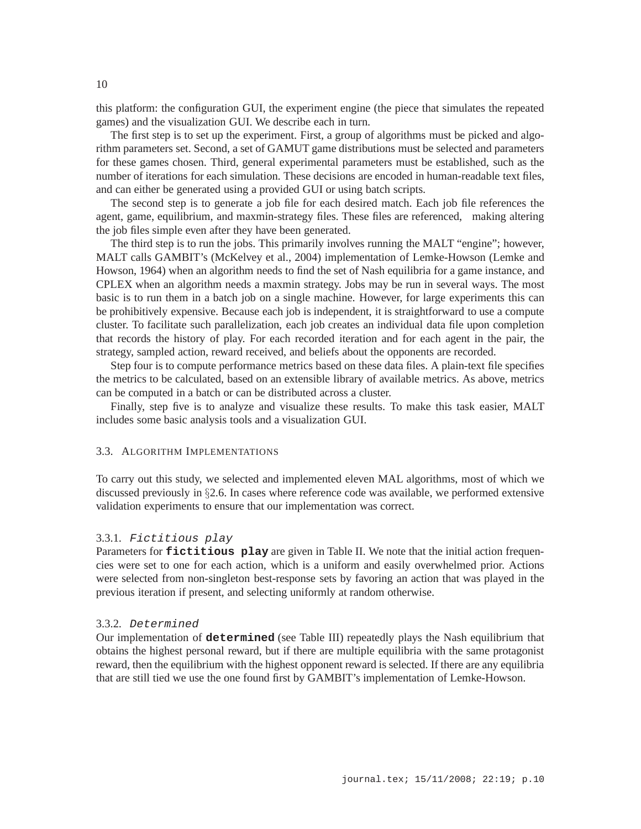this platform: the configuration GUI, the experiment engine (the piece that simulates the repeated games) and the visualization GUI. We describe each in turn.

The first step is to set up the experiment. First, a group of algorithms must be picked and algorithm parameters set. Second, a set of GAMUT game distributions must be selected and parameters for these games chosen. Third, general experimental parameters must be established, such as the number of iterations for each simulation. These decisions are encoded in human-readable text files, and can either be generated using a provided GUI or using batch scripts.

The second step is to generate a job file for each desired match. Each job file references the agent, game, equilibrium, and maxmin-strategy files. These files are referenced, making altering the job files simple even after they have been generated.

The third step is to run the jobs. This primarily involves running the MALT "engine"; however, MALT calls GAMBIT's (McKelvey et al., 2004) implementation of Lemke-Howson (Lemke and Howson, 1964) when an algorithm needs to find the set of Nash equilibria for a game instance, and CPLEX when an algorithm needs a maxmin strategy. Jobs may be run in several ways. The most basic is to run them in a batch job on a single machine. However, for large experiments this can be prohibitively expensive. Because each job is independent, it is straightforward to use a compute cluster. To facilitate such parallelization, each job creates an individual data file upon completion that records the history of play. For each recorded iteration and for each agent in the pair, the strategy, sampled action, reward received, and beliefs about the opponents are recorded.

Step four is to compute performance metrics based on these data files. A plain-text file specifies the metrics to be calculated, based on an extensible library of available metrics. As above, metrics can be computed in a batch or can be distributed across a cluster.

Finally, step five is to analyze and visualize these results. To make this task easier, MALT includes some basic analysis tools and a visualization GUI.

# 3.3. ALGORITHM IMPLEMENTATIONS

To carry out this study, we selected and implemented eleven MAL algorithms, most of which we discussed previously in §2.6. In cases where reference code was available, we performed extensive validation experiments to ensure that our implementation was correct.

### 3.3.1. Fictitious play

Parameters for **fictitious** play are given in Table II. We note that the initial action frequencies were set to one for each action, which is a uniform and easily overwhelmed prior. Actions were selected from non-singleton best-response sets by favoring an action that was played in the previous iteration if present, and selecting uniformly at random otherwise.

# 3.3.2. Determined

Our implementation of **determined** (see Table III) repeatedly plays the Nash equilibrium that obtains the highest personal reward, but if there are multiple equilibria with the same protagonist reward, then the equilibrium with the highest opponent reward is selected. If there are any equilibria that are still tied we use the one found first by GAMBIT's implementation of Lemke-Howson.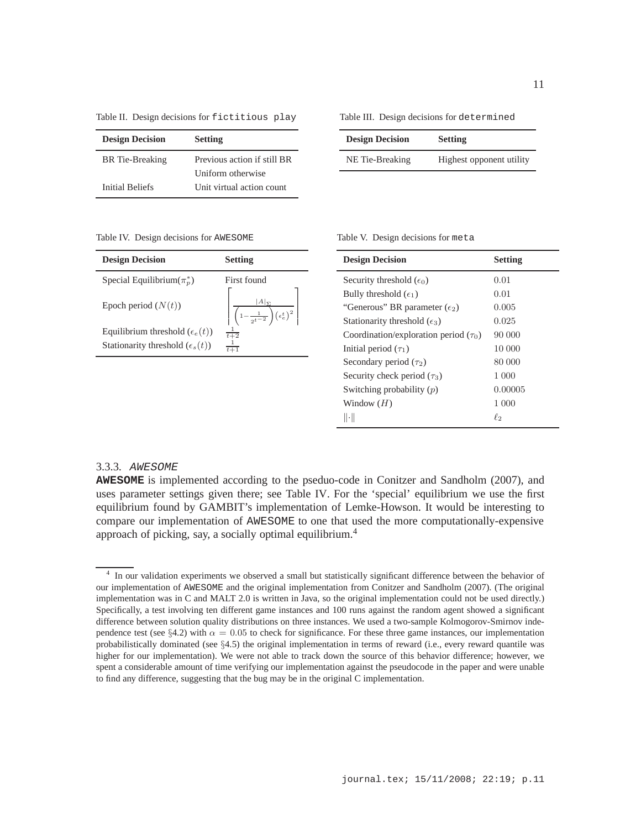Table II. Design decisions for fictitious play

| <b>Design Decision</b> | <b>Setting</b>              |
|------------------------|-----------------------------|
| <b>BR</b> Tie-Breaking | Previous action if still BR |
|                        | Uniform otherwise           |
| Initial Beliefs        | Unit virtual action count   |

Table III. Design decisions for determined

| <b>Design Decision</b> | <b>Setting</b>           |
|------------------------|--------------------------|
| NE Tie-Breaking        | Highest opponent utility |

Table IV. Design decisions for AWESOME

| <b>Design Decision</b>                   | <b>Setting</b>                                                                                |
|------------------------------------------|-----------------------------------------------------------------------------------------------|
| Special Equilibrium $(\pi_n^*)$          | First found                                                                                   |
| Epoch period $(N(t))$                    | $A _{\Sigma}$<br>$\left \left.\left(1-\frac{1}{2^{t-2}}\right)(\epsilon_e^t)^2\right.\right $ |
| Equilibrium threshold $(\epsilon_e(t))$  | $\frac{1}{t+2}$                                                                               |
| Stationarity threshold $(\epsilon_s(t))$ | $\frac{1}{t+1}$                                                                               |
|                                          |                                                                                               |

| <b>Design Decision</b>                     | <b>Setting</b> |
|--------------------------------------------|----------------|
| Security threshold $(\epsilon_0)$          | 0.01           |
| Bully threshold $(\epsilon_1)$             | 0.01           |
| "Generous" BR parameter $(\epsilon_2)$     | 0.005          |
| Stationarity threshold $(\epsilon_3)$      | 0.025          |
| Coordination/exploration period $(\tau_0)$ | 90 000         |
| Initial period $(\tau_1)$                  | 10 000         |
| Secondary period $(\tau_2)$                | 80 000         |
| Security check period $(\tau_3)$           | 1 000          |
| Switching probability $(p)$                | 0.00005        |
| Window $(H)$                               | 1 000          |
| $\ \cdot\ $                                | $\ell_2$       |

#### 3.3.3. AWESOME

**AWESOME** is implemented according to the pseduo-code in Conitzer and Sandholm (2007), and uses parameter settings given there; see Table IV. For the 'special' equilibrium we use the first equilibrium found by GAMBIT's implementation of Lemke-Howson. It would be interesting to compare our implementation of AWESOME to one that used the more computationally-expensive approach of picking, say, a socially optimal equilibrium.<sup>4</sup>

<sup>4</sup> In our validation experiments we observed a small but statistically significant difference between the behavior of our implementation of AWESOME and the original implementation from Conitzer and Sandholm (2007). (The original implementation was in C and MALT 2.0 is written in Java, so the original implementation could not be used directly.) Specifically, a test involving ten different game instances and 100 runs against the random agent showed a significant difference between solution quality distributions on three instances. We used a two-sample Kolmogorov-Smirnov independence test (see §4.2) with  $\alpha = 0.05$  to check for significance. For these three game instances, our implementation probabilistically dominated (see  $\S4.5$ ) the original implementation in terms of reward (i.e., every reward quantile was higher for our implementation). We were not able to track down the source of this behavior difference; however, we spent a considerable amount of time verifying our implementation against the pseudocode in the paper and were unable to find any difference, suggesting that the bug may be in the original C implementation.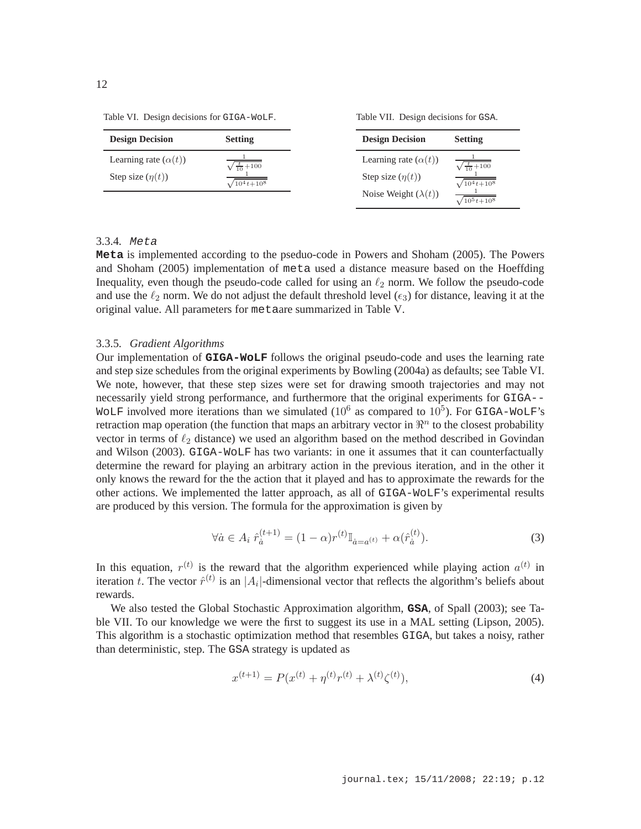Table VI. Design decisions for GIGA-WoLF.

Table VII. Design decisions for GSA.

| <b>Design Decision</b>      | <b>Setting</b>            | <b>Design Decision</b>      | <b>Setting</b>            |
|-----------------------------|---------------------------|-----------------------------|---------------------------|
| Learning rate $(\alpha(t))$ | $\sqrt{\frac{t}{10}+100}$ | Learning rate $(\alpha(t))$ | $\sqrt{\frac{t}{10}+100}$ |
| Step size $(\eta(t))$       | $\sqrt{10^4 t + 10^8}$    | Step size $(\eta(t))$       | $\sqrt{10^4 t + 10^8}$    |
|                             |                           | Noise Weight $(\lambda(t))$ | $\sqrt{10^5t+10^8}$       |

# 3.3.4. Meta

**Meta** is implemented according to the pseduo-code in Powers and Shoham (2005). The Powers and Shoham (2005) implementation of meta used a distance measure based on the Hoeffding Inequality, even though the pseudo-code called for using an  $\ell_2$  norm. We follow the pseudo-code and use the  $\ell_2$  norm. We do not adjust the default threshold level  $(\epsilon_3)$  for distance, leaving it at the original value. All parameters for metaare summarized in Table V.

# 3.3.5. *Gradient Algorithms*

Our implementation of **GIGA-WoLF** follows the original pseudo-code and uses the learning rate and step size schedules from the original experiments by Bowling (2004a) as defaults; see Table VI. We note, however, that these step sizes were set for drawing smooth trajectories and may not necessarily yield strong performance, and furthermore that the original experiments for GIGA-- WOLF involved more iterations than we simulated (10<sup>6</sup> as compared to 10<sup>5</sup>). For GIGA-WOLF's retraction map operation (the function that maps an arbitrary vector in  $\mathbb{R}^n$  to the closest probability vector in terms of  $\ell_2$  distance) we used an algorithm based on the method described in Govindan and Wilson (2003). GIGA-WoLF has two variants: in one it assumes that it can counterfactually determine the reward for playing an arbitrary action in the previous iteration, and in the other it only knows the reward for the the action that it played and has to approximate the rewards for the other actions. We implemented the latter approach, as all of GIGA-WoLF's experimental results are produced by this version. The formula for the approximation is given by

$$
\forall \dot{a} \in A_i \ \hat{r}_{\dot{a}}^{(t+1)} = (1 - \alpha)r^{(t)}\mathbb{I}_{\dot{a} = a^{(t)}} + \alpha(\hat{r}_{\dot{a}}^{(t)}).
$$
 (3)

In this equation,  $r^{(t)}$  is the reward that the algorithm experienced while playing action  $a^{(t)}$  in iteration t. The vector  $\hat{r}^{(t)}$  is an |A<sub>i</sub>|-dimensional vector that reflects the algorithm's beliefs about rewards.

We also tested the Global Stochastic Approximation algorithm, **GSA**, of Spall (2003); see Table VII. To our knowledge we were the first to suggest its use in a MAL setting (Lipson, 2005). This algorithm is a stochastic optimization method that resembles GIGA, but takes a noisy, rather than deterministic, step. The GSA strategy is updated as

$$
x^{(t+1)} = P(x^{(t)} + \eta^{(t)}r^{(t)} + \lambda^{(t)}\zeta^{(t)}),
$$
\n(4)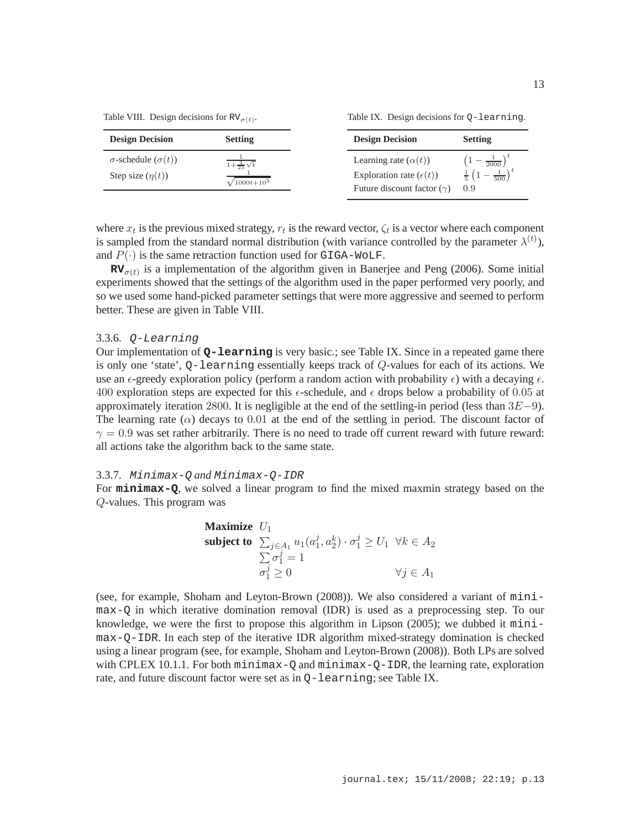Table VIII. Design decisions for  $RV_{\sigma(t)}$ .

Table IX. Design decisions for Q-learning.

| <b>Design Decision</b>                                    | <b>Setting</b>             | <b>Design Decision</b><br><b>Setting</b>                                                                                                         |
|-----------------------------------------------------------|----------------------------|--------------------------------------------------------------------------------------------------------------------------------------------------|
| $\sigma$ -schedule $(\sigma(t))$<br>Step size $(\eta(t))$ | $1 + \frac{1}{25}\sqrt{t}$ | $\left(1-\frac{1}{2000}\right)^{\nu}$<br>Learning rate $(\alpha(t))$<br>$\frac{1}{500}$ )<br>Exploration rate $(\epsilon(t))$<br>$rac{1}{5}$ (1) |
|                                                           | $\sqrt{1000t+10^5}$        | Future discount factor $(\gamma)$<br>0.9                                                                                                         |

where  $x_t$  is the previous mixed strategy,  $r_t$  is the reward vector,  $\zeta_t$  is a vector where each component is sampled from the standard normal distribution (with variance controlled by the parameter  $\lambda^{(t)}$ ), and  $P(\cdot)$  is the same retraction function used for GIGA-WOLF.

 $\mathbf{RV}_{\sigma(t)}$  is a implementation of the algorithm given in Banerjee and Peng (2006). Some initial experiments showed that the settings of the algorithm used in the paper performed very poorly, and so we used some hand-picked parameter settings that were more aggressive and seemed to perform better. These are given in Table VIII.

#### 3.3.6. Q-Learning

Our implementation of **Q-learning** is very basic.; see Table IX. Since in a repeated game there is only one 'state',  $Q$ -learning essentially keeps track of  $Q$ -values for each of its actions. We use an  $\epsilon$ -greedy exploration policy (perform a random action with probability  $\epsilon$ ) with a decaying  $\epsilon$ . 400 exploration steps are expected for this  $\epsilon$ -schedule, and  $\epsilon$  drops below a probability of 0.05 at approximately iteration 2800. It is negligible at the end of the settling-in period (less than  $3E-9$ ). The learning rate  $(\alpha)$  decays to 0.01 at the end of the settling in period. The discount factor of  $\gamma = 0.9$  was set rather arbitrarily. There is no need to trade off current reward with future reward: all actions take the algorithm back to the same state.

#### 3.3.7. Minimax-Q *and* Minimax-Q-IDR

For **minimax-Q**, we solved a linear program to find the mixed maxmin strategy based on the Q-values. This program was

**Maximize** 
$$
U_1
$$
  
\n**subject to**  $\sum_{j \in A_1} u_1(a_1^j, a_2^k) \cdot \sigma_1^j \ge U_1 \ \forall k \in A_2$   
\n $\sum_{j \in A_1} \sigma_1^j = 1$   
\n $\sigma_1^j \ge 0$   $\forall j \in A_1$ 

(see, for example, Shoham and Leyton-Brown (2008)). We also considered a variant of minimax-Q in which iterative domination removal (IDR) is used as a preprocessing step. To our knowledge, we were the first to propose this algorithm in Lipson (2005); we dubbed it minimax-Q-IDR. In each step of the iterative IDR algorithm mixed-strategy domination is checked using a linear program (see, for example, Shoham and Leyton-Brown (2008)). Both LPs are solved with CPLEX 10.1.1. For both  $minimax-Q$  and  $minimax-Q-IDR$ , the learning rate, exploration rate, and future discount factor were set as in Q-learning; see Table IX.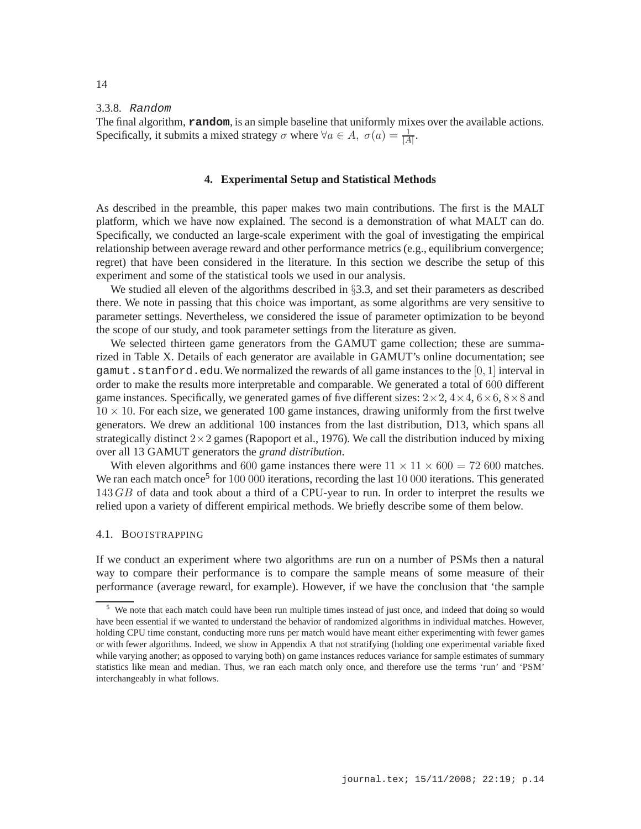3.3.8. Random

The final algorithm, **random**, is an simple baseline that uniformly mixes over the available actions. Specifically, it submits a mixed strategy  $\sigma$  where  $\forall a \in A$ ,  $\sigma(a) = \frac{1}{|A|}$ .

# **4. Experimental Setup and Statistical Methods**

As described in the preamble, this paper makes two main contributions. The first is the MALT platform, which we have now explained. The second is a demonstration of what MALT can do. Specifically, we conducted an large-scale experiment with the goal of investigating the empirical relationship between average reward and other performance metrics (e.g., equilibrium convergence; regret) that have been considered in the literature. In this section we describe the setup of this experiment and some of the statistical tools we used in our analysis.

We studied all eleven of the algorithms described in §3.3, and set their parameters as described there. We note in passing that this choice was important, as some algorithms are very sensitive to parameter settings. Nevertheless, we considered the issue of parameter optimization to be beyond the scope of our study, and took parameter settings from the literature as given.

We selected thirteen game generators from the GAMUT game collection; these are summarized in Table X. Details of each generator are available in GAMUT's online documentation; see gamut.stanford.edu. We normalized the rewards of all game instances to the  $[0, 1]$  interval in order to make the results more interpretable and comparable. We generated a total of 600 different game instances. Specifically, we generated games of five different sizes:  $2 \times 2$ ,  $4 \times 4$ ,  $6 \times 6$ ,  $8 \times 8$  and  $10 \times 10$ . For each size, we generated 100 game instances, drawing uniformly from the first twelve generators. We drew an additional 100 instances from the last distribution, D13, which spans all strategically distinct  $2 \times 2$  games (Rapoport et al., 1976). We call the distribution induced by mixing over all 13 GAMUT generators the *grand distribution*.

With eleven algorithms and 600 game instances there were  $11 \times 11 \times 600 = 72,600$  matches. We ran each match once<sup>5</sup> for 100 000 iterations, recording the last 10 000 iterations. This generated 143 GB of data and took about a third of a CPU-year to run. In order to interpret the results we relied upon a variety of different empirical methods. We briefly describe some of them below.

# 4.1. BOOTSTRAPPING

If we conduct an experiment where two algorithms are run on a number of PSMs then a natural way to compare their performance is to compare the sample means of some measure of their performance (average reward, for example). However, if we have the conclusion that 'the sample

<sup>&</sup>lt;sup>5</sup> We note that each match could have been run multiple times instead of just once, and indeed that doing so would have been essential if we wanted to understand the behavior of randomized algorithms in individual matches. However, holding CPU time constant, conducting more runs per match would have meant either experimenting with fewer games or with fewer algorithms. Indeed, we show in Appendix A that not stratifying (holding one experimental variable fixed while varying another; as opposed to varying both) on game instances reduces variance for sample estimates of summary statistics like mean and median. Thus, we ran each match only once, and therefore use the terms 'run' and 'PSM' interchangeably in what follows.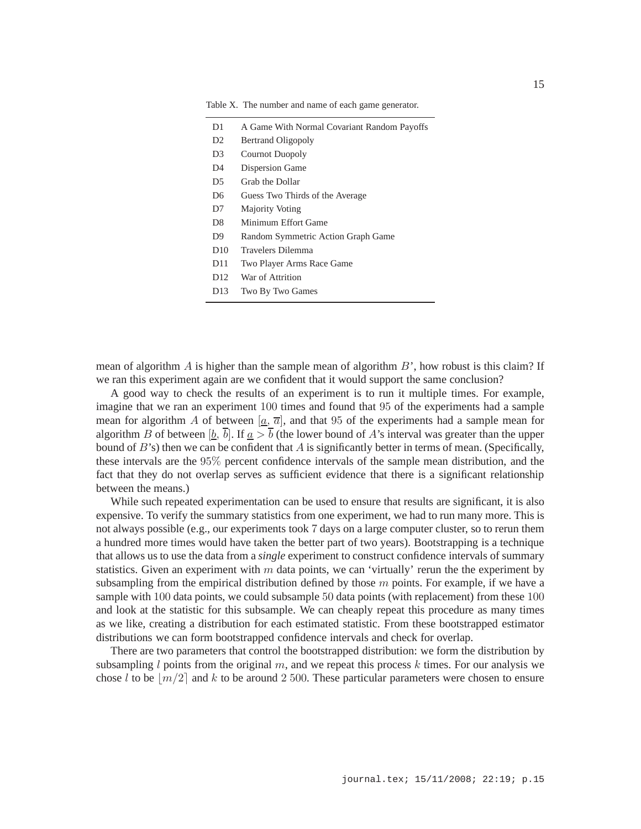| D1              | A Game With Normal Covariant Random Payoffs |
|-----------------|---------------------------------------------|
| D2              | <b>Bertrand Oligopoly</b>                   |
| D3              | <b>Cournot Duopoly</b>                      |
| D4              | Dispersion Game                             |
| D5              | Grab the Dollar                             |
| D <sub>6</sub>  | Guess Two Thirds of the Average             |
| D7              | <b>Majority Voting</b>                      |
| D8              | Minimum Effort Game                         |
| D9              | Random Symmetric Action Graph Game          |
| D10             | Travelers Dilemma                           |
| D11             | Two Player Arms Race Game                   |
| D <sub>12</sub> | War of Attrition                            |
| D13             | Two By Two Games                            |

Table X. The number and name of each game generator.

mean of algorithm A is higher than the sample mean of algorithm  $B'$ , how robust is this claim? If we ran this experiment again are we confident that it would support the same conclusion?

A good way to check the results of an experiment is to run it multiple times. For example, imagine that we ran an experiment 100 times and found that 95 of the experiments had a sample mean for algorithm A of between  $[\underline{a}, \overline{a}]$ , and that 95 of the experiments had a sample mean for algorithm B of between [b,  $\overline{b}$ ]. If  $a > \overline{b}$  (the lower bound of A's interval was greater than the upper bound of  $B$ 's) then we can be confident that A is significantly better in terms of mean. (Specifically, these intervals are the 95% percent confidence intervals of the sample mean distribution, and the fact that they do not overlap serves as sufficient evidence that there is a significant relationship between the means.)

While such repeated experimentation can be used to ensure that results are significant, it is also expensive. To verify the summary statistics from one experiment, we had to run many more. This is not always possible (e.g., our experiments took 7 days on a large computer cluster, so to rerun them a hundred more times would have taken the better part of two years). Bootstrapping is a technique that allows us to use the data from a *single* experiment to construct confidence intervals of summary statistics. Given an experiment with  $m$  data points, we can 'virtually' rerun the the experiment by subsampling from the empirical distribution defined by those  $m$  points. For example, if we have a sample with 100 data points, we could subsample 50 data points (with replacement) from these 100 and look at the statistic for this subsample. We can cheaply repeat this procedure as many times as we like, creating a distribution for each estimated statistic. From these bootstrapped estimator distributions we can form bootstrapped confidence intervals and check for overlap.

There are two parameters that control the bootstrapped distribution: we form the distribution by subsampling  $l$  points from the original  $m$ , and we repeat this process  $k$  times. For our analysis we chose l to be  $|m/2|$  and k to be around 2 500. These particular parameters were chosen to ensure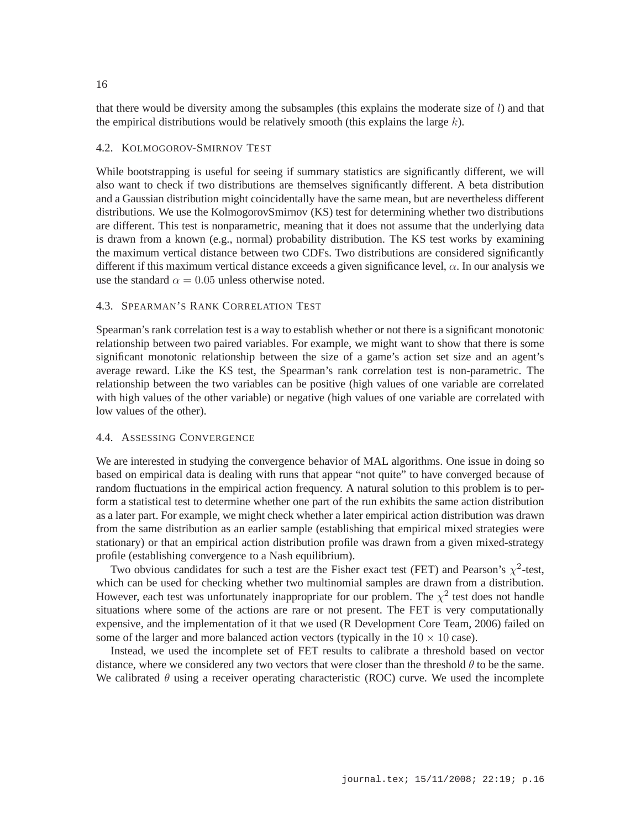that there would be diversity among the subsamples (this explains the moderate size of  $l$ ) and that the empirical distributions would be relatively smooth (this explains the large  $k$ ).

# 4.2. KOLMOGOROV-SMIRNOV TEST

While bootstrapping is useful for seeing if summary statistics are significantly different, we will also want to check if two distributions are themselves significantly different. A beta distribution and a Gaussian distribution might coincidentally have the same mean, but are nevertheless different distributions. We use the KolmogorovSmirnov (KS) test for determining whether two distributions are different. This test is nonparametric, meaning that it does not assume that the underlying data is drawn from a known (e.g., normal) probability distribution. The KS test works by examining the maximum vertical distance between two CDFs. Two distributions are considered significantly different if this maximum vertical distance exceeds a given significance level,  $\alpha$ . In our analysis we use the standard  $\alpha = 0.05$  unless otherwise noted.

# 4.3. SPEARMAN'S RANK CORRELATION TEST

Spearman's rank correlation test is a way to establish whether or not there is a significant monotonic relationship between two paired variables. For example, we might want to show that there is some significant monotonic relationship between the size of a game's action set size and an agent's average reward. Like the KS test, the Spearman's rank correlation test is non-parametric. The relationship between the two variables can be positive (high values of one variable are correlated with high values of the other variable) or negative (high values of one variable are correlated with low values of the other).

# 4.4. ASSESSING CONVERGENCE

We are interested in studying the convergence behavior of MAL algorithms. One issue in doing so based on empirical data is dealing with runs that appear "not quite" to have converged because of random fluctuations in the empirical action frequency. A natural solution to this problem is to perform a statistical test to determine whether one part of the run exhibits the same action distribution as a later part. For example, we might check whether a later empirical action distribution was drawn from the same distribution as an earlier sample (establishing that empirical mixed strategies were stationary) or that an empirical action distribution profile was drawn from a given mixed-strategy profile (establishing convergence to a Nash equilibrium).

Two obvious candidates for such a test are the Fisher exact test (FET) and Pearson's  $\chi^2$ -test, which can be used for checking whether two multinomial samples are drawn from a distribution. However, each test was unfortunately inappropriate for our problem. The  $\chi^2$  test does not handle situations where some of the actions are rare or not present. The FET is very computationally expensive, and the implementation of it that we used (R Development Core Team, 2006) failed on some of the larger and more balanced action vectors (typically in the  $10 \times 10$  case).

Instead, we used the incomplete set of FET results to calibrate a threshold based on vector distance, where we considered any two vectors that were closer than the threshold  $\theta$  to be the same. We calibrated  $\theta$  using a receiver operating characteristic (ROC) curve. We used the incomplete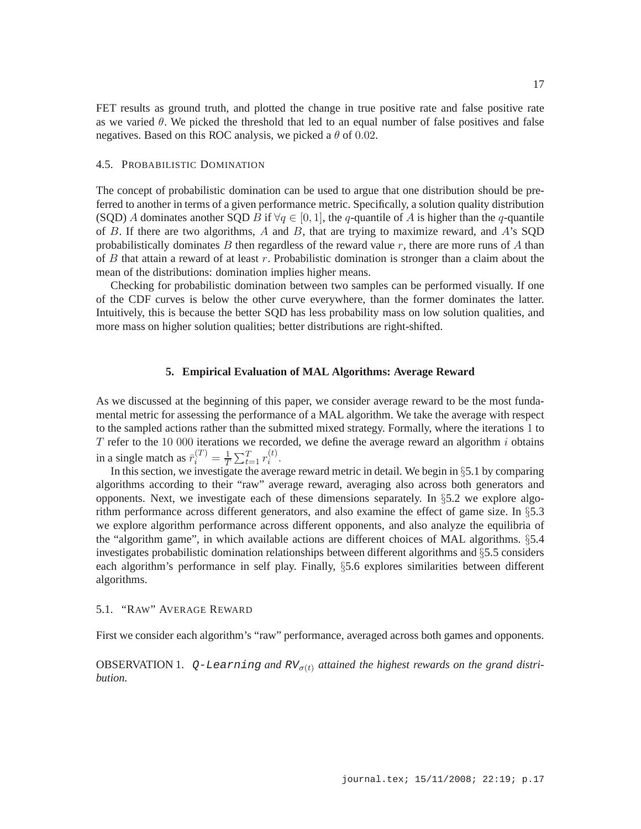FET results as ground truth, and plotted the change in true positive rate and false positive rate as we varied  $\theta$ . We picked the threshold that led to an equal number of false positives and false negatives. Based on this ROC analysis, we picked a  $\theta$  of 0.02.

# 4.5. PROBABILISTIC DOMINATION

The concept of probabilistic domination can be used to argue that one distribution should be preferred to another in terms of a given performance metric. Specifically, a solution quality distribution (SQD) A dominates another SQD B if  $\forall q \in [0, 1]$ , the q-quantile of A is higher than the q-quantile of B. If there are two algorithms, A and B, that are trying to maximize reward, and A's SQD probabilistically dominates B then regardless of the reward value  $r$ , there are more runs of A than of  $B$  that attain a reward of at least  $r$ . Probabilistic domination is stronger than a claim about the mean of the distributions: domination implies higher means.

Checking for probabilistic domination between two samples can be performed visually. If one of the CDF curves is below the other curve everywhere, than the former dominates the latter. Intuitively, this is because the better SQD has less probability mass on low solution qualities, and more mass on higher solution qualities; better distributions are right-shifted.

# **5. Empirical Evaluation of MAL Algorithms: Average Reward**

As we discussed at the beginning of this paper, we consider average reward to be the most fundamental metric for assessing the performance of a MAL algorithm. We take the average with respect to the sampled actions rather than the submitted mixed strategy. Formally, where the iterations 1 to  $T$  refer to the 10 000 iterations we recorded, we define the average reward an algorithm  $i$  obtains in a single match as  $\bar{r}_i^{(T)} = \frac{1}{T} \sum_{t=1}^T r_i^{(t)}$  $\binom{u}{i}$ .

In this section, we investigate the average reward metric in detail. We begin in §5.1 by comparing algorithms according to their "raw" average reward, averaging also across both generators and opponents. Next, we investigate each of these dimensions separately. In  $\S 5.2$  we explore algorithm performance across different generators, and also examine the effect of game size. In §5.3 we explore algorithm performance across different opponents, and also analyze the equilibria of the "algorithm game", in which available actions are different choices of MAL algorithms. §5.4 investigates probabilistic domination relationships between different algorithms and §5.5 considers each algorithm's performance in self play. Finally, §5.6 explores similarities between different algorithms.

### 5.1. "RAW" AVERAGE REWARD

First we consider each algorithm's "raw" performance, averaged across both games and opponents.

OBSERVATION 1.  $Q$ -Learning and RV<sub> $\sigma(t)$ </sub> attained the highest rewards on the grand distri*bution.*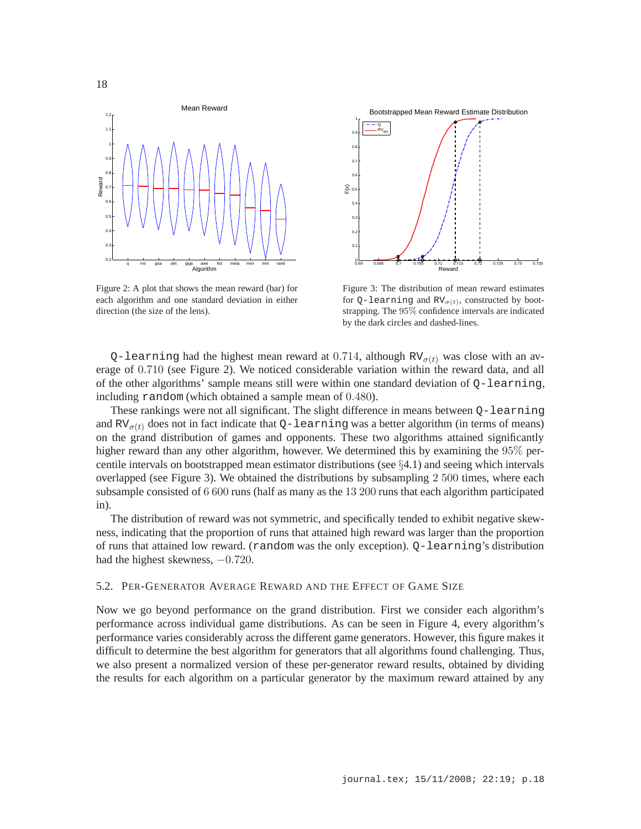

Figure 2: A plot that shows the mean reward (bar) for each algorithm and one standard deviation in either direction (the size of the lens).



Figure 3: The distribution of mean reward estimates for Q-learning and  $RV_{\sigma(t)}$ , constructed by bootstrapping. The 95% confidence intervals are indicated by the dark circles and dashed-lines.

Q-learning had the highest mean reward at 0.714, although  $RV_{\sigma(t)}$  was close with an average of 0.710 (see Figure 2). We noticed considerable variation within the reward data, and all of the other algorithms' sample means still were within one standard deviation of Q-learning, including random (which obtained a sample mean of 0.480).

These rankings were not all significant. The slight difference in means between Q-learning and RV $\sigma(t)$  does not in fact indicate that Q-learning was a better algorithm (in terms of means) on the grand distribution of games and opponents. These two algorithms attained significantly higher reward than any other algorithm, however. We determined this by examining the 95% percentile intervals on bootstrapped mean estimator distributions (see  $\S4.1$ ) and seeing which intervals overlapped (see Figure 3). We obtained the distributions by subsampling 2 500 times, where each subsample consisted of 6 600 runs (half as many as the 13 200 runs that each algorithm participated in).

The distribution of reward was not symmetric, and specifically tended to exhibit negative skewness, indicating that the proportion of runs that attained high reward was larger than the proportion of runs that attained low reward. (random was the only exception). Q-learning's distribution had the highest skewness,  $-0.720$ .

### 5.2. PER-GENERATOR AVERAGE REWARD AND THE EFFECT OF GAME SIZE

Now we go beyond performance on the grand distribution. First we consider each algorithm's performance across individual game distributions. As can be seen in Figure 4, every algorithm's performance varies considerably across the different game generators. However, this figure makes it difficult to determine the best algorithm for generators that all algorithms found challenging. Thus, we also present a normalized version of these per-generator reward results, obtained by dividing the results for each algorithm on a particular generator by the maximum reward attained by any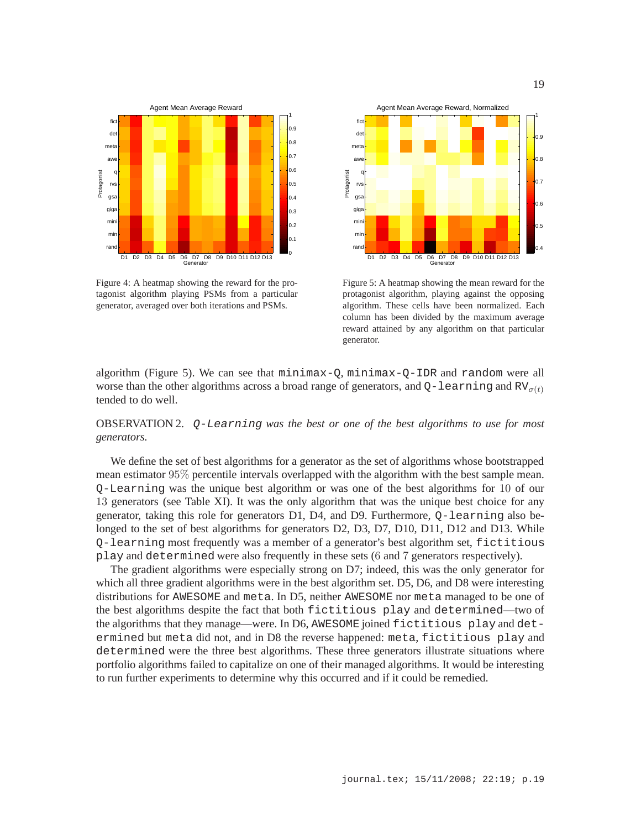

Figure 4: A heatmap showing the reward for the protagonist algorithm playing PSMs from a particular generator, averaged over both iterations and PSMs.



Figure 5: A heatmap showing the mean reward for the protagonist algorithm, playing against the opposing algorithm. These cells have been normalized. Each column has been divided by the maximum average reward attained by any algorithm on that particular generator.

algorithm (Figure 5). We can see that minimax-Q, minimax-Q-IDR and random were all worse than the other algorithms across a broad range of generators, and  $Q$ -learning and  $RV_{\sigma(t)}$ tended to do well.

# OBSERVATION 2. Q-Learning *was the best or one of the best algorithms to use for most generators.*

We define the set of best algorithms for a generator as the set of algorithms whose bootstrapped mean estimator 95% percentile intervals overlapped with the algorithm with the best sample mean. Q-Learning was the unique best algorithm or was one of the best algorithms for 10 of our 13 generators (see Table XI). It was the only algorithm that was the unique best choice for any generator, taking this role for generators D1, D4, and D9. Furthermore, Q-learning also belonged to the set of best algorithms for generators D2, D3, D7, D10, D11, D12 and D13. While Q-learning most frequently was a member of a generator's best algorithm set, fictitious play and determined were also frequently in these sets (6 and 7 generators respectively).

The gradient algorithms were especially strong on D7; indeed, this was the only generator for which all three gradient algorithms were in the best algorithm set. D5, D6, and D8 were interesting distributions for AWESOME and meta. In D5, neither AWESOME nor meta managed to be one of the best algorithms despite the fact that both fictitious play and determined—two of the algorithms that they manage—were. In D6, AWESOME joined fictitious play and determined but meta did not, and in D8 the reverse happened: meta, fictitious play and determined were the three best algorithms. These three generators illustrate situations where portfolio algorithms failed to capitalize on one of their managed algorithms. It would be interesting to run further experiments to determine why this occurred and if it could be remedied.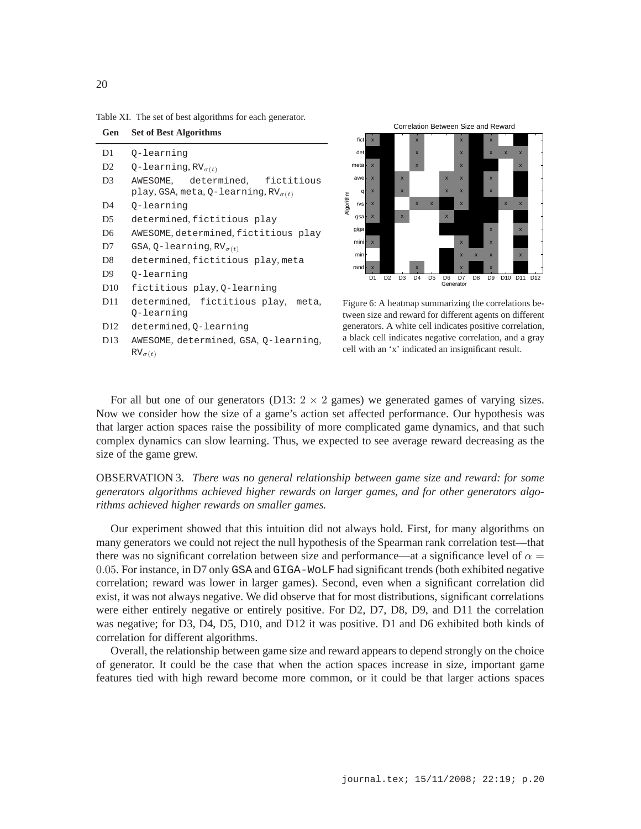Table XI. The set of best algorithms for each generator.

**Gen Set of Best Algorithms**

| D1              | 0-learning                                                                       |
|-----------------|----------------------------------------------------------------------------------|
| D <sub>2</sub>  | Q-learning, $RV_{\sigma(t)}$                                                     |
| D3              | AWESOME, determined, fictitious<br>play, GSA, meta, Q-learning, $RV_{\sigma(t)}$ |
| D4              | 0-learning                                                                       |
| D5              | determined, fictitious play                                                      |
| D6              | AWESOME, determined, fictitious play                                             |
| D7              | GSA, Q-learning, $RV_{\sigma(t)}$                                                |
| D <sub>8</sub>  | determined, fictitious play, meta                                                |
| D <sub>9</sub>  | 0-learning                                                                       |
| D10             | fictitious play, Q-learning                                                      |
| D <sub>11</sub> | determined, fictitious play, meta,                                               |
|                 | 0-learning                                                                       |
| D <sub>12</sub> | determined, Q-learning                                                           |
|                 |                                                                                  |

D13 AWESOME, determined, GSA, Q-learning,  $RV_{\sigma(t)}$ 



Figure 6: A heatmap summarizing the correlations between size and reward for different agents on different generators. A white cell indicates positive correlation, a black cell indicates negative correlation, and a gray cell with an 'x' indicated an insignificant result.

For all but one of our generators (D13:  $2 \times 2$  games) we generated games of varying sizes. Now we consider how the size of a game's action set affected performance. Our hypothesis was that larger action spaces raise the possibility of more complicated game dynamics, and that such complex dynamics can slow learning. Thus, we expected to see average reward decreasing as the size of the game grew.

OBSERVATION 3. *There was no general relationship between game size and reward: for some generators algorithms achieved higher rewards on larger games, and for other generators algorithms achieved higher rewards on smaller games.*

Our experiment showed that this intuition did not always hold. First, for many algorithms on many generators we could not reject the null hypothesis of the Spearman rank correlation test—that there was no significant correlation between size and performance—at a significance level of  $\alpha$  = 0.05. For instance, in D7 only GSA and GIGA-WoLF had significant trends (both exhibited negative correlation; reward was lower in larger games). Second, even when a significant correlation did exist, it was not always negative. We did observe that for most distributions, significant correlations were either entirely negative or entirely positive. For D2, D7, D8, D9, and D11 the correlation was negative; for D3, D4, D5, D10, and D12 it was positive. D1 and D6 exhibited both kinds of correlation for different algorithms.

Overall, the relationship between game size and reward appears to depend strongly on the choice of generator. It could be the case that when the action spaces increase in size, important game features tied with high reward become more common, or it could be that larger actions spaces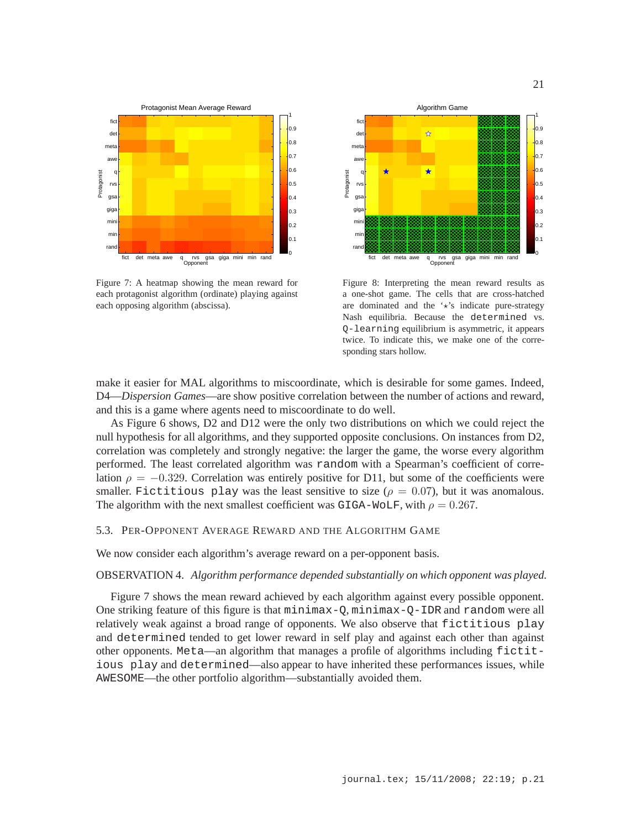

21



Figure 7: A heatmap showing the mean reward for each protagonist algorithm (ordinate) playing against each opposing algorithm (abscissa).



Figure 8: Interpreting the mean reward results as a one-shot game. The cells that are cross-hatched are dominated and the  $\star$ 's indicate pure-strategy Nash equilibria. Because the determined vs. Q-learning equilibrium is asymmetric, it appears twice. To indicate this, we make one of the corresponding stars hollow.

make it easier for MAL algorithms to miscoordinate, which is desirable for some games. Indeed, D4—*Dispersion Games*—are show positive correlation between the number of actions and reward, and this is a game where agents need to miscoordinate to do well.

As Figure 6 shows, D2 and D12 were the only two distributions on which we could reject the null hypothesis for all algorithms, and they supported opposite conclusions. On instances from D2, correlation was completely and strongly negative: the larger the game, the worse every algorithm performed. The least correlated algorithm was random with a Spearman's coefficient of correlation  $\rho = -0.329$ . Correlation was entirely positive for D11, but some of the coefficients were smaller. Fictitious play was the least sensitive to size ( $\rho = 0.07$ ), but it was anomalous. The algorithm with the next smallest coefficient was GIGA-WOLF, with  $\rho = 0.267$ .

# 5.3. PER-OPPONENT AVERAGE REWARD AND THE ALGORITHM GAME

We now consider each algorithm's average reward on a per-opponent basis.

### OBSERVATION 4. *Algorithm performance depended substantially on which opponent was played.*

Figure 7 shows the mean reward achieved by each algorithm against every possible opponent. One striking feature of this figure is that minimax-Q, minimax-Q-IDR and random were all relatively weak against a broad range of opponents. We also observe that fictitious play and determined tended to get lower reward in self play and against each other than against other opponents. Meta—an algorithm that manages a profile of algorithms including fictitious play and determined—also appear to have inherited these performances issues, while AWESOME—the other portfolio algorithm—substantially avoided them.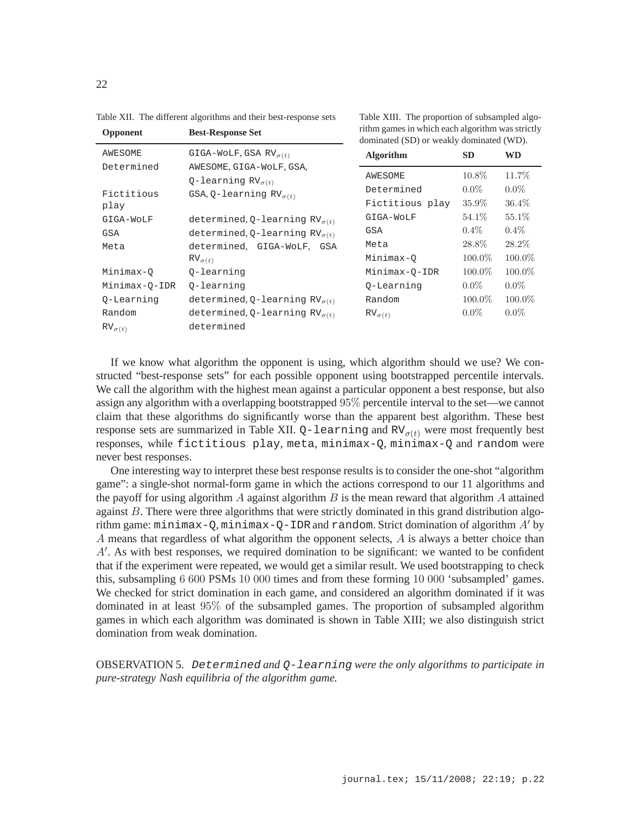| Opponent         | <b>Best-Response Set</b>                                | rithm games in which each algorithm was strictly<br>dominated (SD) or weakly dominated (WD). |           |           |  |
|------------------|---------------------------------------------------------|----------------------------------------------------------------------------------------------|-----------|-----------|--|
| <b>AWESOME</b>   | GIGA-WOLF, GSA RV $_{\sigma(t)}$                        | <b>Algorithm</b>                                                                             | <b>SD</b> | WD        |  |
| Determined       | AWESOME, GIGA-WOLF, GSA,<br>Q-learning $RV_{\sigma(t)}$ | <b>AWESOME</b>                                                                               | $10.8\%$  | 11.7%     |  |
| Fictitious       | GSA, Q-learning $RV_{\sigma(t)}$                        | Determined                                                                                   | $0.0\%$   | $0.0\%$   |  |
| play             |                                                         | Fictitious play                                                                              | $35.9\%$  | $36.4\%$  |  |
| GIGA-WOLF        | determined, Q-learning $RV_{\sigma(t)}$                 | GIGA-WOLF                                                                                    | 54.1\%    | 55.1\%    |  |
| GSA              | determined, Q-learning $RV_{\sigma(t)}$                 | <b>GSA</b>                                                                                   | $0.4\%$   | $0.4\%$   |  |
| Meta             | determined, GIGA-WOLF, GSA                              | Meta                                                                                         | 28.8%     | 28.2\%    |  |
|                  | $RV_{\sigma(t)}$                                        | Minimax-Q                                                                                    | 100.0%    | $100.0\%$ |  |
| Minimax-O        | 0-learning                                              | Minimax-O-IDR                                                                                | 100.0%    | $100.0\%$ |  |
| Minimax-Q-IDR    | 0-learning                                              | 0-Learning                                                                                   | $0.0\%$   | $0.0\%$   |  |
| Q-Learning       | determined, Q-learning $RV_{\sigma(t)}$                 | Random                                                                                       | 100.0%    | $100.0\%$ |  |
| Random           | determined, Q-learning $RV_{\sigma(t)}$                 | $RV_{\sigma(t)}$                                                                             | $0.0\%$   | $0.0\%$   |  |
| $RV_{\sigma(t)}$ | determined                                              |                                                                                              |           |           |  |

Table XII. The different algorithms and their best-response sets

If we know what algorithm the opponent is using, which algorithm should we use? We constructed "best-response sets" for each possible opponent using bootstrapped percentile intervals. We call the algorithm with the highest mean against a particular opponent a best response, but also assign any algorithm with a overlapping bootstrapped 95% percentile interval to the set—we cannot claim that these algorithms do significantly worse than the apparent best algorithm. These best response sets are summarized in Table XII.  $Q$ -learning and RV $_{\sigma(t)}$  were most frequently best responses, while fictitious play, meta, minimax-Q, minimax-Q and random were never best responses.

One interesting way to interpret these best response results is to consider the one-shot "algorithm game": a single-shot normal-form game in which the actions correspond to our 11 algorithms and the payoff for using algorithm A against algorithm  $B$  is the mean reward that algorithm A attained against  $B$ . There were three algorithms that were strictly dominated in this grand distribution algorithm game:  $minimax-O$ ,  $minimax-O-IDR$  and  $random$ . Strict domination of algorithm  $A'$  by A means that regardless of what algorithm the opponent selects, A is always a better choice than A′ . As with best responses, we required domination to be significant: we wanted to be confident that if the experiment were repeated, we would get a similar result. We used bootstrapping to check this, subsampling 6 600 PSMs 10 000 times and from these forming 10 000 'subsampled' games. We checked for strict domination in each game, and considered an algorithm dominated if it was dominated in at least 95% of the subsampled games. The proportion of subsampled algorithm games in which each algorithm was dominated is shown in Table XIII; we also distinguish strict domination from weak domination.

OBSERVATION 5. Determined *and* Q-learning *were the only algorithms to participate in pure-strategy Nash equilibria of the algorithm game.*

Table XIII. The proportion of subsampled algo-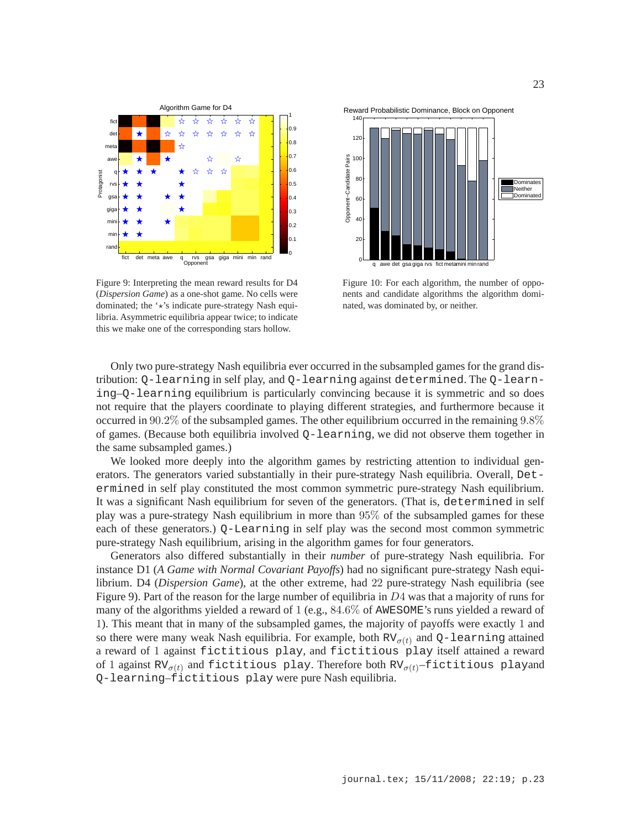

Figure 9: Interpreting the mean reward results for D4 (*Dispersion Game*) as a one-shot game. No cells were dominated; the  $\star$ 's indicate pure-strategy Nash equilibria. Asymmetric equilibria appear twice; to indicate this we make one of the corresponding stars hollow.





Figure 10: For each algorithm, the number of opponents and candidate algorithms the algorithm dominated, was dominated by, or neither.

Only two pure-strategy Nash equilibria ever occurred in the subsampled games for the grand distribution: Q-learning in self play, and Q-learning against determined. The Q-learning–Q-learning equilibrium is particularly convincing because it is symmetric and so does not require that the players coordinate to playing different strategies, and furthermore because it occurred in 90.2% of the subsampled games. The other equilibrium occurred in the remaining 9.8% of games. (Because both equilibria involved  $Q$ -learning, we did not observe them together in the same subsampled games.)

We looked more deeply into the algorithm games by restricting attention to individual generators. The generators varied substantially in their pure-strategy Nash equilibria. Overall, Determined in self play constituted the most common symmetric pure-strategy Nash equilibrium. It was a significant Nash equilibrium for seven of the generators. (That is, determined in self play was a pure-strategy Nash equilibrium in more than 95% of the subsampled games for these each of these generators.) Q-Learning in self play was the second most common symmetric pure-strategy Nash equilibrium, arising in the algorithm games for four generators.

Generators also differed substantially in their *number* of pure-strategy Nash equilibria. For instance D1 (*A Game with Normal Covariant Payoffs*) had no significant pure-strategy Nash equilibrium. D4 (*Dispersion Game*), at the other extreme, had 22 pure-strategy Nash equilibria (see Figure 9). Part of the reason for the large number of equilibria in D4 was that a majority of runs for many of the algorithms yielded a reward of 1 (e.g., 84.6% of AWESOME's runs yielded a reward of 1). This meant that in many of the subsampled games, the majority of payoffs were exactly 1 and so there were many weak Nash equilibria. For example, both  $RV_{\sigma(t)}$  and Q-learning attained a reward of 1 against fictitious play, and fictitious play itself attained a reward of 1 against RV $_{\sigma(t)}$  and fictitious play. Therefore both RV $_{\sigma(t)}$ -fictitious playand Q-learning–fictitious play were pure Nash equilibria.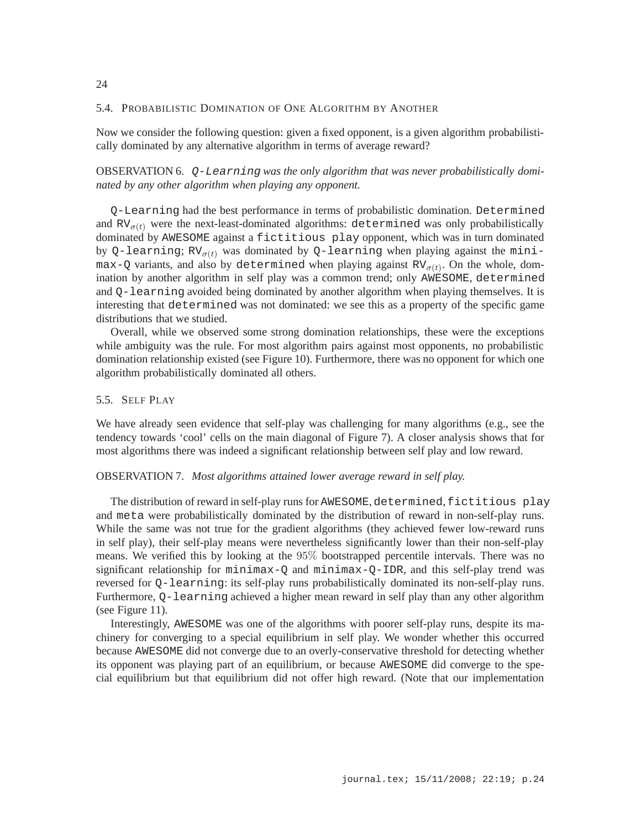### 5.4. PROBABILISTIC DOMINATION OF ONE ALGORITHM BY ANOTHER

Now we consider the following question: given a fixed opponent, is a given algorithm probabilistically dominated by any alternative algorithm in terms of average reward?

OBSERVATION 6. Q-Learning *was the only algorithm that was never probabilistically dominated by any other algorithm when playing any opponent.*

Q-Learning had the best performance in terms of probabilistic domination. Determined and  $RV_{\sigma(t)}$  were the next-least-dominated algorithms: determined was only probabilistically dominated by AWESOME against a fictitious play opponent, which was in turn dominated by Q-learning;  $RV_{\sigma(t)}$  was dominated by Q-learning when playing against the minimax-Q variants, and also by determined when playing against  $RV_{\sigma(t)}$ . On the whole, domination by another algorithm in self play was a common trend; only AWESOME, determined and Q-learning avoided being dominated by another algorithm when playing themselves. It is interesting that determined was not dominated: we see this as a property of the specific game distributions that we studied.

Overall, while we observed some strong domination relationships, these were the exceptions while ambiguity was the rule. For most algorithm pairs against most opponents, no probabilistic domination relationship existed (see Figure 10). Furthermore, there was no opponent for which one algorithm probabilistically dominated all others.

# 5.5. SELF PLAY

We have already seen evidence that self-play was challenging for many algorithms (e.g., see the tendency towards 'cool' cells on the main diagonal of Figure 7). A closer analysis shows that for most algorithms there was indeed a significant relationship between self play and low reward.

## OBSERVATION 7. *Most algorithms attained lower average reward in self play.*

The distribution of reward in self-play runs for AWESOME, determined, fictitious play and meta were probabilistically dominated by the distribution of reward in non-self-play runs. While the same was not true for the gradient algorithms (they achieved fewer low-reward runs in self play), their self-play means were nevertheless significantly lower than their non-self-play means. We verified this by looking at the 95% bootstrapped percentile intervals. There was no significant relationship for minimax-Q and minimax-Q-IDR, and this self-play trend was reversed for Q-learning: its self-play runs probabilistically dominated its non-self-play runs. Furthermore, Q-learning achieved a higher mean reward in self play than any other algorithm (see Figure 11).

Interestingly, AWESOME was one of the algorithms with poorer self-play runs, despite its machinery for converging to a special equilibrium in self play. We wonder whether this occurred because AWESOME did not converge due to an overly-conservative threshold for detecting whether its opponent was playing part of an equilibrium, or because AWESOME did converge to the special equilibrium but that equilibrium did not offer high reward. (Note that our implementation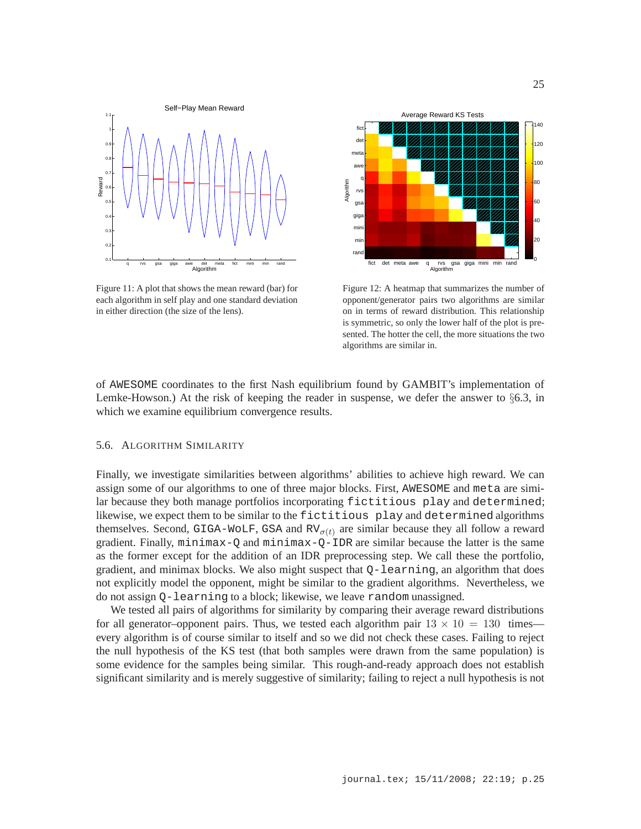

Figure 11: A plot that shows the mean reward (bar) for each algorithm in self play and one standard deviation in either direction (the size of the lens).



Figure 12: A heatmap that summarizes the number of opponent/generator pairs two algorithms are similar on in terms of reward distribution. This relationship is symmetric, so only the lower half of the plot is presented. The hotter the cell, the more situations the two algorithms are similar in.

of AWESOME coordinates to the first Nash equilibrium found by GAMBIT's implementation of Lemke-Howson.) At the risk of keeping the reader in suspense, we defer the answer to  $\S6.3$ , in which we examine equilibrium convergence results.

### 5.6. ALGORITHM SIMILARITY

Finally, we investigate similarities between algorithms' abilities to achieve high reward. We can assign some of our algorithms to one of three major blocks. First, AWESOME and meta are similar because they both manage portfolios incorporating fictitious play and determined; likewise, we expect them to be similar to the fictitious play and determined algorithms themselves. Second, GIGA-WOLF, GSA and  $RV_{\sigma(t)}$  are similar because they all follow a reward gradient. Finally, minimax-Q and minimax-Q-IDR are similar because the latter is the same as the former except for the addition of an IDR preprocessing step. We call these the portfolio, gradient, and minimax blocks. We also might suspect that  $Q$ -learning, an algorithm that does not explicitly model the opponent, might be similar to the gradient algorithms. Nevertheless, we do not assign Q-learning to a block; likewise, we leave random unassigned.

We tested all pairs of algorithms for similarity by comparing their average reward distributions for all generator–opponent pairs. Thus, we tested each algorithm pair  $13 \times 10 = 130$  times every algorithm is of course similar to itself and so we did not check these cases. Failing to reject the null hypothesis of the KS test (that both samples were drawn from the same population) is some evidence for the samples being similar. This rough-and-ready approach does not establish significant similarity and is merely suggestive of similarity; failing to reject a null hypothesis is not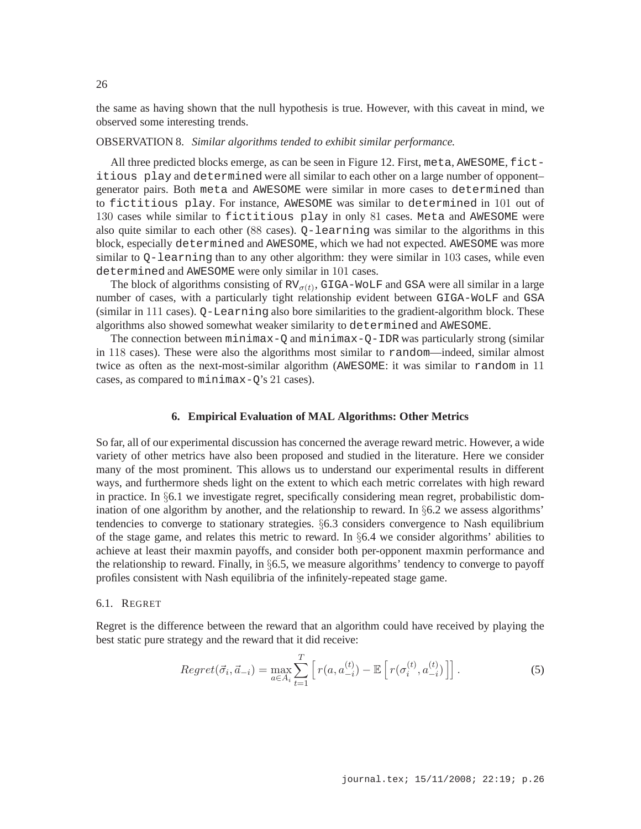the same as having shown that the null hypothesis is true. However, with this caveat in mind, we observed some interesting trends.

#### OBSERVATION 8. *Similar algorithms tended to exhibit similar performance.*

All three predicted blocks emerge, as can be seen in Figure 12. First, meta, AWESOME, fictitious play and determined were all similar to each other on a large number of opponent– generator pairs. Both meta and AWESOME were similar in more cases to determined than to fictitious play. For instance, AWESOME was similar to determined in 101 out of 130 cases while similar to fictitious play in only 81 cases. Meta and AWESOME were also quite similar to each other (88 cases). Q-learning was similar to the algorithms in this block, especially determined and AWESOME, which we had not expected. AWESOME was more similar to Q-learning than to any other algorithm: they were similar in 103 cases, while even determined and AWESOME were only similar in 101 cases.

The block of algorithms consisting of  $RV_{\sigma(t)}$ , GIGA-WOLF and GSA were all similar in a large number of cases, with a particularly tight relationship evident between GIGA-WoLF and GSA  $(\text{similar in } 111 \text{ cases})$ .  $Q$ –Learning also bore similarities to the gradient-algorithm block. These algorithms also showed somewhat weaker similarity to determined and AWESOME.

The connection between  $minimax-Q$  and  $minimax-Q-IPR$  was particularly strong (similar in 118 cases). These were also the algorithms most similar to random—indeed, similar almost twice as often as the next-most-similar algorithm (AWESOME: it was similar to random in 11 cases, as compared to minimax-Q's 21 cases).

# **6. Empirical Evaluation of MAL Algorithms: Other Metrics**

So far, all of our experimental discussion has concerned the average reward metric. However, a wide variety of other metrics have also been proposed and studied in the literature. Here we consider many of the most prominent. This allows us to understand our experimental results in different ways, and furthermore sheds light on the extent to which each metric correlates with high reward in practice. In §6.1 we investigate regret, specifically considering mean regret, probabilistic domination of one algorithm by another, and the relationship to reward. In  $\S6.2$  we assess algorithms' tendencies to converge to stationary strategies. §6.3 considers convergence to Nash equilibrium of the stage game, and relates this metric to reward. In  $\S6.4$  we consider algorithms' abilities to achieve at least their maxmin payoffs, and consider both per-opponent maxmin performance and the relationship to reward. Finally, in §6.5, we measure algorithms' tendency to converge to payoff profiles consistent with Nash equilibria of the infinitely-repeated stage game.

### 6.1. REGRET

Regret is the difference between the reward that an algorithm could have received by playing the best static pure strategy and the reward that it did receive:

$$
Regret(\vec{\sigma}_i, \vec{a}_{-i}) = \max_{a \in A_i} \sum_{t=1}^T \left[ r(a, a_{-i}^{(t)}) - \mathbb{E} \left[ r(\sigma_i^{(t)}, a_{-i}^{(t)}) \right] \right]. \tag{5}
$$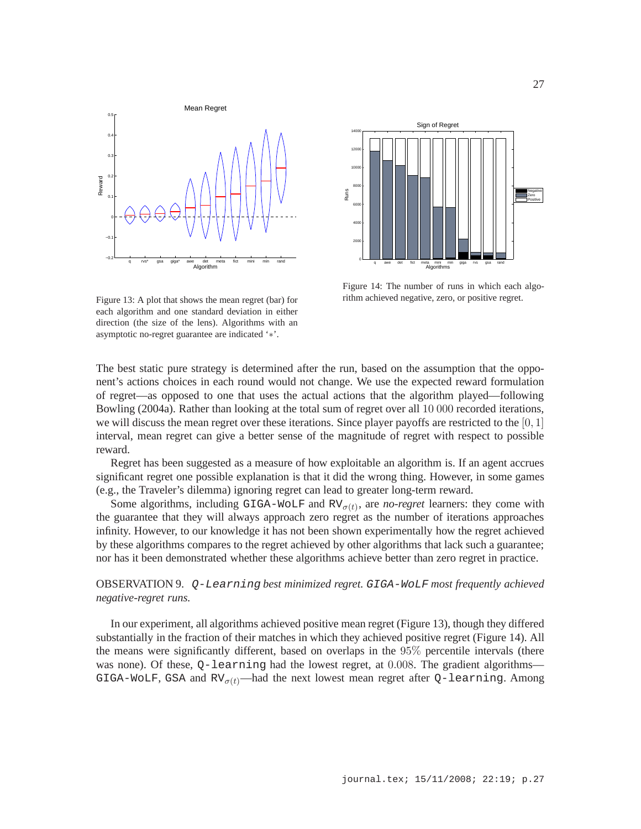27





Figure 14: The number of runs in which each algorithm achieved negative, zero, or positive regret.

Figure 13: A plot that shows the mean regret (bar) for each algorithm and one standard deviation in either direction (the size of the lens). Algorithms with an asymptotic no-regret guarantee are indicated '∗'.

The best static pure strategy is determined after the run, based on the assumption that the opponent's actions choices in each round would not change. We use the expected reward formulation of regret—as opposed to one that uses the actual actions that the algorithm played—following Bowling (2004a). Rather than looking at the total sum of regret over all 10 000 recorded iterations, we will discuss the mean regret over these iterations. Since player payoffs are restricted to the  $[0, 1]$ interval, mean regret can give a better sense of the magnitude of regret with respect to possible reward.

Regret has been suggested as a measure of how exploitable an algorithm is. If an agent accrues significant regret one possible explanation is that it did the wrong thing. However, in some games (e.g., the Traveler's dilemma) ignoring regret can lead to greater long-term reward.

Some algorithms, including GIGA-WOLF and  $RV_{\sigma(t)}$ , are *no-regret* learners: they come with the guarantee that they will always approach zero regret as the number of iterations approaches infinity. However, to our knowledge it has not been shown experimentally how the regret achieved by these algorithms compares to the regret achieved by other algorithms that lack such a guarantee; nor has it been demonstrated whether these algorithms achieve better than zero regret in practice.

# OBSERVATION 9. Q-Learning *best minimized regret.* GIGA-WoLF *most frequently achieved negative-regret runs.*

In our experiment, all algorithms achieved positive mean regret (Figure 13), though they differed substantially in the fraction of their matches in which they achieved positive regret (Figure 14). All the means were significantly different, based on overlaps in the 95% percentile intervals (there was none). Of these, Q-learning had the lowest regret, at 0.008. The gradient algorithms— GIGA-WOLF, GSA and  $RV_{\sigma(t)}$ —had the next lowest mean regret after Q-learning. Among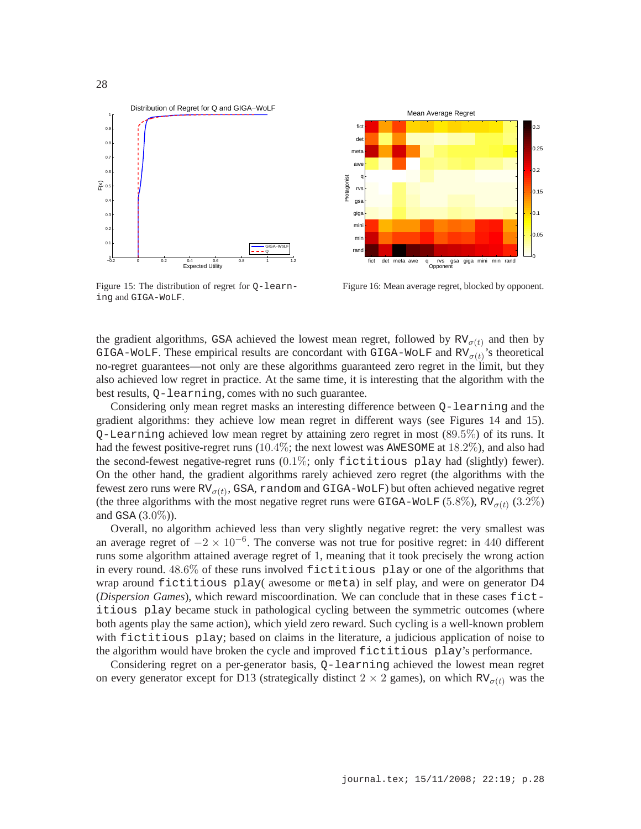

Figure 15: The distribution of regret for Q-learning and GIGA-WoLF.



Figure 16: Mean average regret, blocked by opponent.

the gradient algorithms, GSA achieved the lowest mean regret, followed by  $RV_{\sigma(t)}$  and then by GIGA-WOLF. These empirical results are concordant with GIGA-WOLF and  $RV_{\sigma(t)}$ 's theoretical no-regret guarantees—not only are these algorithms guaranteed zero regret in the limit, but they also achieved low regret in practice. At the same time, it is interesting that the algorithm with the best results, Q-learning, comes with no such guarantee.

Considering only mean regret masks an interesting difference between Q-learning and the gradient algorithms: they achieve low mean regret in different ways (see Figures 14 and 15). Q-Learning achieved low mean regret by attaining zero regret in most (89.5%) of its runs. It had the fewest positive-regret runs (10.4%; the next lowest was AWESOME at 18.2%), and also had the second-fewest negative-regret runs (0.1%; only fictitious play had (slightly) fewer). On the other hand, the gradient algorithms rarely achieved zero regret (the algorithms with the fewest zero runs were  $RV_{\sigma(t)}$ , GSA, random and GIGA-WoLF) but often achieved negative regret (the three algorithms with the most negative regret runs were GIGA-WOLF (5.8%),  $RV_{\sigma(t)}$  (3.2%) and GSA  $(3.0\%)$ ).

Overall, no algorithm achieved less than very slightly negative regret: the very smallest was an average regret of  $-2 \times 10^{-6}$ . The converse was not true for positive regret: in 440 different runs some algorithm attained average regret of 1, meaning that it took precisely the wrong action in every round. 48.6% of these runs involved fictitious play or one of the algorithms that wrap around fictitious play( awesome or meta) in self play, and were on generator D4 (*Dispersion Games*), which reward miscoordination. We can conclude that in these cases fictitious play became stuck in pathological cycling between the symmetric outcomes (where both agents play the same action), which yield zero reward. Such cycling is a well-known problem with fictitious play; based on claims in the literature, a judicious application of noise to the algorithm would have broken the cycle and improved fictitious play's performance.

Considering regret on a per-generator basis, Q-learning achieved the lowest mean regret on every generator except for D13 (strategically distinct  $2 \times 2$  games), on which RV<sub> $\sigma(t)$ </sub> was the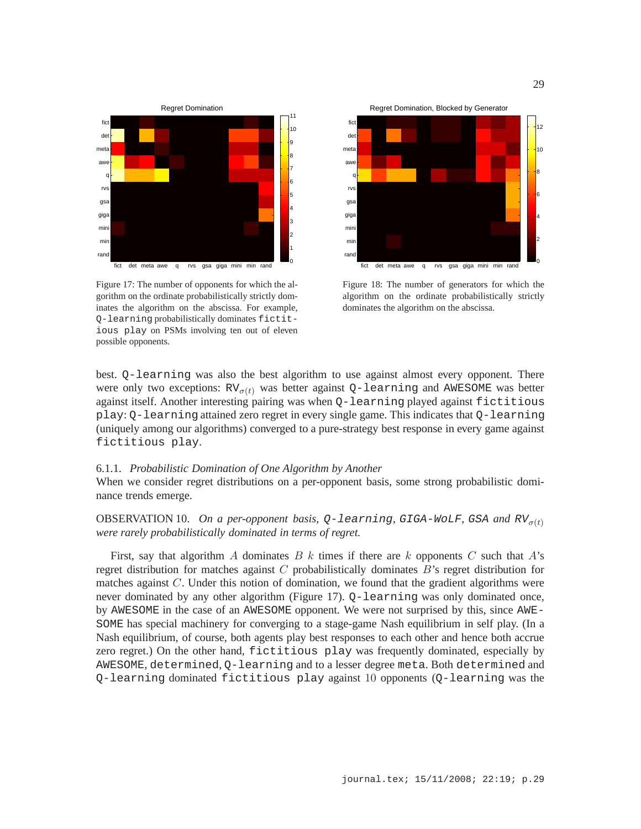

Figure 17: The number of opponents for which the algorithm on the ordinate probabilistically strictly dominates the algorithm on the abscissa. For example, Q-learning probabilistically dominates fictitious play on PSMs involving ten out of eleven possible opponents.



Figure 18: The number of generators for which the algorithm on the ordinate probabilistically strictly dominates the algorithm on the abscissa.

best. Q-learning was also the best algorithm to use against almost every opponent. There were only two exceptions:  $RV_{\sigma(t)}$  was better against Q-learning and AWESOME was better against itself. Another interesting pairing was when Q-learning played against fictitious play: Q-learning attained zero regret in every single game. This indicates that Q-learning (uniquely among our algorithms) converged to a pure-strategy best response in every game against fictitious play.

# 6.1.1. *Probabilistic Domination of One Algorithm by Another*

When we consider regret distributions on a per-opponent basis, some strong probabilistic dominance trends emerge.

OBSERVATION 10. *On a per-opponent basis,*  $Q$ -learning, GIGA-WOLF, GSA and  $RV_{q(t)}$ *were rarely probabilistically dominated in terms of regret.*

First, say that algorithm A dominates B k times if there are k opponents C such that  $A$ 's regret distribution for matches against  $C$  probabilistically dominates  $B$ 's regret distribution for matches against C. Under this notion of domination, we found that the gradient algorithms were never dominated by any other algorithm (Figure 17). Q-learning was only dominated once, by AWESOME in the case of an AWESOME opponent. We were not surprised by this, since AWE-SOME has special machinery for converging to a stage-game Nash equilibrium in self play. (In a Nash equilibrium, of course, both agents play best responses to each other and hence both accrue zero regret.) On the other hand, fictitious play was frequently dominated, especially by AWESOME, determined, Q-learning and to a lesser degree meta. Both determined and Q-learning dominated fictitious play against 10 opponents (Q-learning was the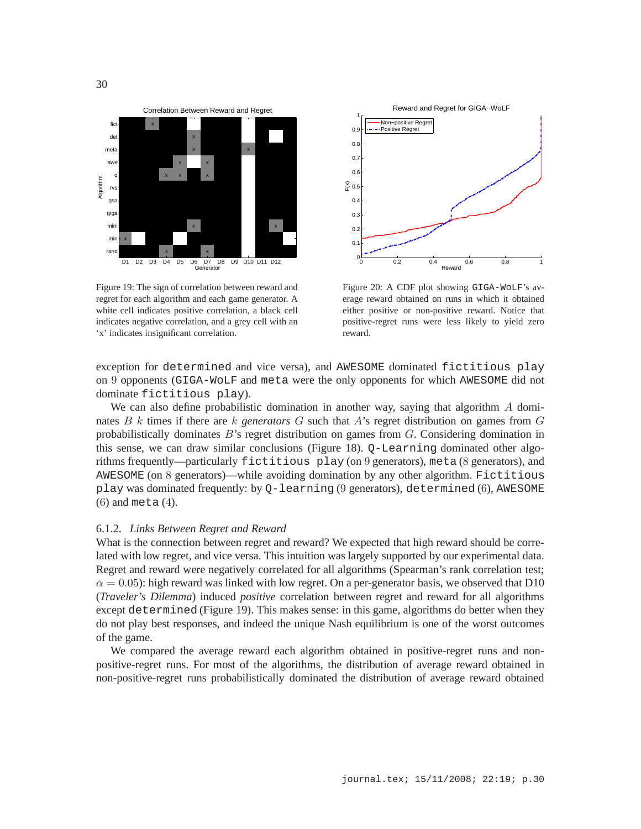

Figure 19: The sign of correlation between reward and regret for each algorithm and each game generator. A white cell indicates positive correlation, a black cell indicates negative correlation, and a grey cell with an 'x' indicates insignificant correlation.



Figure 20: A CDF plot showing GIGA-WoLF's average reward obtained on runs in which it obtained either positive or non-positive reward. Notice that positive-regret runs were less likely to yield zero reward.

exception for determined and vice versa), and AWESOME dominated fictitious play on 9 opponents (GIGA-WoLF and meta were the only opponents for which AWESOME did not dominate fictitious play).

We can also define probabilistic domination in another way, saying that algorithm  $A$  dominates B k times if there are k *generators* G such that A's regret distribution on games from G probabilistically dominates  $B$ 's regret distribution on games from  $G$ . Considering domination in this sense, we can draw similar conclusions (Figure 18). Q-Learning dominated other algorithms frequently—particularly fictitious play (on 9 generators), meta (8 generators), and AWESOME (on 8 generators)—while avoiding domination by any other algorithm. Fictitious play was dominated frequently: by Q-learning (9 generators), determined (6), AWESOME (6) and meta (4).

#### 6.1.2. *Links Between Regret and Reward*

What is the connection between regret and reward? We expected that high reward should be correlated with low regret, and vice versa. This intuition was largely supported by our experimental data. Regret and reward were negatively correlated for all algorithms (Spearman's rank correlation test;  $\alpha = 0.05$ : high reward was linked with low regret. On a per-generator basis, we observed that D10 (*Traveler's Dilemma*) induced *positive* correlation between regret and reward for all algorithms except determined (Figure 19). This makes sense: in this game, algorithms do better when they do not play best responses, and indeed the unique Nash equilibrium is one of the worst outcomes of the game.

We compared the average reward each algorithm obtained in positive-regret runs and nonpositive-regret runs. For most of the algorithms, the distribution of average reward obtained in non-positive-regret runs probabilistically dominated the distribution of average reward obtained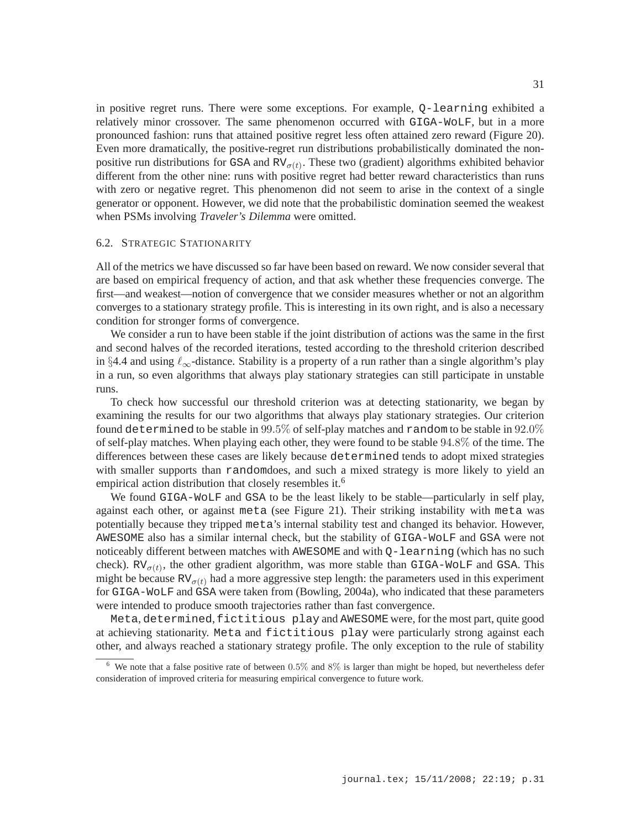in positive regret runs. There were some exceptions. For example, Q-learning exhibited a relatively minor crossover. The same phenomenon occurred with GIGA-WoLF, but in a more pronounced fashion: runs that attained positive regret less often attained zero reward (Figure 20). Even more dramatically, the positive-regret run distributions probabilistically dominated the nonpositive run distributions for GSA and  $RV_{\sigma(t)}$ . These two (gradient) algorithms exhibited behavior different from the other nine: runs with positive regret had better reward characteristics than runs with zero or negative regret. This phenomenon did not seem to arise in the context of a single generator or opponent. However, we did note that the probabilistic domination seemed the weakest when PSMs involving *Traveler's Dilemma* were omitted.

### 6.2. STRATEGIC STATIONARITY

All of the metrics we have discussed so far have been based on reward. We now consider several that are based on empirical frequency of action, and that ask whether these frequencies converge. The first—and weakest—notion of convergence that we consider measures whether or not an algorithm converges to a stationary strategy profile. This is interesting in its own right, and is also a necessary condition for stronger forms of convergence.

We consider a run to have been stable if the joint distribution of actions was the same in the first and second halves of the recorded iterations, tested according to the threshold criterion described in §4.4 and using  $\ell_{\infty}$ -distance. Stability is a property of a run rather than a single algorithm's play in a run, so even algorithms that always play stationary strategies can still participate in unstable runs.

To check how successful our threshold criterion was at detecting stationarity, we began by examining the results for our two algorithms that always play stationary strategies. Our criterion found determined to be stable in 99.5% of self-play matches and random to be stable in 92.0% of self-play matches. When playing each other, they were found to be stable 94.8% of the time. The differences between these cases are likely because determined tends to adopt mixed strategies with smaller supports than randomdoes, and such a mixed strategy is more likely to yield an empirical action distribution that closely resembles it.<sup>6</sup>

We found GIGA-WOLF and GSA to be the least likely to be stable—particularly in self play, against each other, or against meta (see Figure 21). Their striking instability with meta was potentially because they tripped meta's internal stability test and changed its behavior. However, AWESOME also has a similar internal check, but the stability of GIGA-WoLF and GSA were not noticeably different between matches with AWESOME and with Q-learning (which has no such check).  $RV_{\sigma(t)}$ , the other gradient algorithm, was more stable than GIGA-WOLF and GSA. This might be because  $RV_{\sigma(t)}$  had a more aggressive step length: the parameters used in this experiment for GIGA-WoLF and GSA were taken from (Bowling, 2004a), who indicated that these parameters were intended to produce smooth trajectories rather than fast convergence.

Meta, determined,fictitious play and AWESOME were, for the most part, quite good at achieving stationarity. Meta and fictitious play were particularly strong against each other, and always reached a stationary strategy profile. The only exception to the rule of stability

<sup>&</sup>lt;sup>6</sup> We note that a false positive rate of between  $0.5\%$  and  $8\%$  is larger than might be hoped, but nevertheless defer consideration of improved criteria for measuring empirical convergence to future work.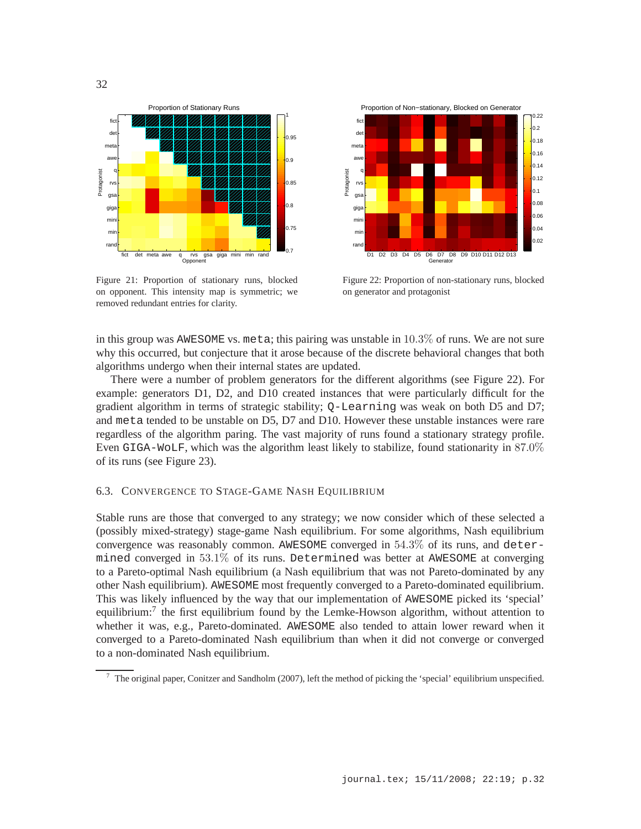

Figure 21: Proportion of stationary runs, blocked on opponent. This intensity map is symmetric; we removed redundant entries for clarity.



Figure 22: Proportion of non-stationary runs, blocked on generator and protagonist

in this group was AWESOME vs. meta; this pairing was unstable in 10.3% of runs. We are not sure why this occurred, but conjecture that it arose because of the discrete behavioral changes that both algorithms undergo when their internal states are updated.

There were a number of problem generators for the different algorithms (see Figure 22). For example: generators D1, D2, and D10 created instances that were particularly difficult for the gradient algorithm in terms of strategic stability; Q-Learning was weak on both D5 and D7; and meta tended to be unstable on D5, D7 and D10. However these unstable instances were rare regardless of the algorithm paring. The vast majority of runs found a stationary strategy profile. Even GIGA-WoLF, which was the algorithm least likely to stabilize, found stationarity in 87.0% of its runs (see Figure 23).

# 6.3. CONVERGENCE TO STAGE-GAME NASH EQUILIBRIUM

Stable runs are those that converged to any strategy; we now consider which of these selected a (possibly mixed-strategy) stage-game Nash equilibrium. For some algorithms, Nash equilibrium convergence was reasonably common. AWESOME converged in 54.3% of its runs, and determined converged in  $53.1\%$  of its runs. Determined was better at AWESOME at converging to a Pareto-optimal Nash equilibrium (a Nash equilibrium that was not Pareto-dominated by any other Nash equilibrium). AWESOME most frequently converged to a Pareto-dominated equilibrium. This was likely influenced by the way that our implementation of AWESOME picked its 'special' equilibrium:<sup>7</sup> the first equilibrium found by the Lemke-Howson algorithm, without attention to whether it was, e.g., Pareto-dominated. AWESOME also tended to attain lower reward when it converged to a Pareto-dominated Nash equilibrium than when it did not converge or converged to a non-dominated Nash equilibrium.

<sup>7</sup> The original paper, Conitzer and Sandholm (2007), left the method of picking the 'special' equilibrium unspecified.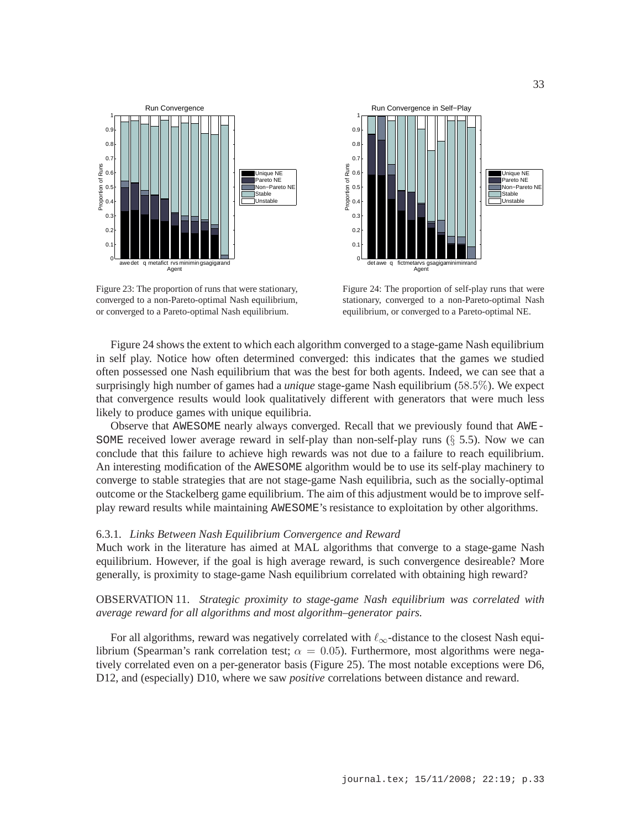

Figure 23: The proportion of runs that were stationary, converged to a non-Pareto-optimal Nash equilibrium, or converged to a Pareto-optimal Nash equilibrium.



Figure 24: The proportion of self-play runs that were stationary, converged to a non-Pareto-optimal Nash equilibrium, or converged to a Pareto-optimal NE.

Figure 24 shows the extent to which each algorithm converged to a stage-game Nash equilibrium in self play. Notice how often determined converged: this indicates that the games we studied often possessed one Nash equilibrium that was the best for both agents. Indeed, we can see that a surprisingly high number of games had a *unique* stage-game Nash equilibrium (58.5%). We expect that convergence results would look qualitatively different with generators that were much less likely to produce games with unique equilibria.

Observe that AWESOME nearly always converged. Recall that we previously found that AWE-SOME received lower average reward in self-play than non-self-play runs  $(\S 5.5)$ . Now we can conclude that this failure to achieve high rewards was not due to a failure to reach equilibrium. An interesting modification of the AWESOME algorithm would be to use its self-play machinery to converge to stable strategies that are not stage-game Nash equilibria, such as the socially-optimal outcome or the Stackelberg game equilibrium. The aim of this adjustment would be to improve selfplay reward results while maintaining AWESOME's resistance to exploitation by other algorithms.

# 6.3.1. *Links Between Nash Equilibrium Convergence and Reward*

Much work in the literature has aimed at MAL algorithms that converge to a stage-game Nash equilibrium. However, if the goal is high average reward, is such convergence desireable? More generally, is proximity to stage-game Nash equilibrium correlated with obtaining high reward?

# OBSERVATION 11. *Strategic proximity to stage-game Nash equilibrium was correlated with average reward for all algorithms and most algorithm–generator pairs.*

For all algorithms, reward was negatively correlated with  $\ell_{\infty}$ -distance to the closest Nash equilibrium (Spearman's rank correlation test;  $\alpha = 0.05$ ). Furthermore, most algorithms were negatively correlated even on a per-generator basis (Figure 25). The most notable exceptions were D6, D12, and (especially) D10, where we saw *positive* correlations between distance and reward.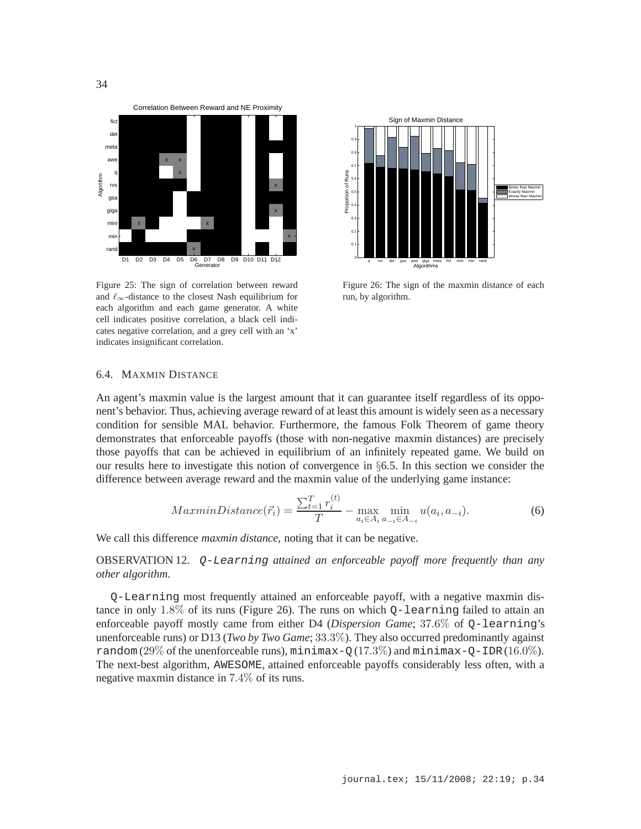

Figure 25: The sign of correlation between reward and  $\ell_{\infty}$ -distance to the closest Nash equilibrium for each algorithm and each game generator. A white cell indicates positive correlation, a black cell indicates negative correlation, and a grey cell with an 'x' indicates insignificant correlation.



Figure 26: The sign of the maxmin distance of each run, by algorithm.

# 6.4. MAXMIN DISTANCE

An agent's maxmin value is the largest amount that it can guarantee itself regardless of its opponent's behavior. Thus, achieving average reward of at least this amount is widely seen as a necessary condition for sensible MAL behavior. Furthermore, the famous Folk Theorem of game theory demonstrates that enforceable payoffs (those with non-negative maxmin distances) are precisely those payoffs that can be achieved in equilibrium of an infinitely repeated game. We build on our results here to investigate this notion of convergence in §6.5. In this section we consider the difference between average reward and the maxmin value of the underlying game instance:

$$
MaxminDistance(\vec{r}_i) = \frac{\sum_{t=1}^{T} r_i^{(t)}}{T} - \max_{a_i \in A_i} \min_{a_{-i} \in A_{-i}} u(a_i, a_{-i}).
$$
\n(6)

We call this difference *maxmin distance*, noting that it can be negative.

OBSERVATION 12. Q-Learning *attained an enforceable payoff more frequently than any other algorithm.*

Q-Learning most frequently attained an enforceable payoff, with a negative maxmin distance in only 1.8% of its runs (Figure 26). The runs on which  $Q$ -learning failed to attain an enforceable payoff mostly came from either D4 (*Dispersion Game*; 37.6% of Q-learning's unenforceable runs) or D13 (*Two by Two Game*; 33.3%). They also occurred predominantly against random  $(29\%$  of the unenforceable runs), minimax-Q $(17.3\%)$  and minimax-Q-IDR(16.0%). The next-best algorithm, AWESOME, attained enforceable payoffs considerably less often, with a negative maxmin distance in 7.4% of its runs.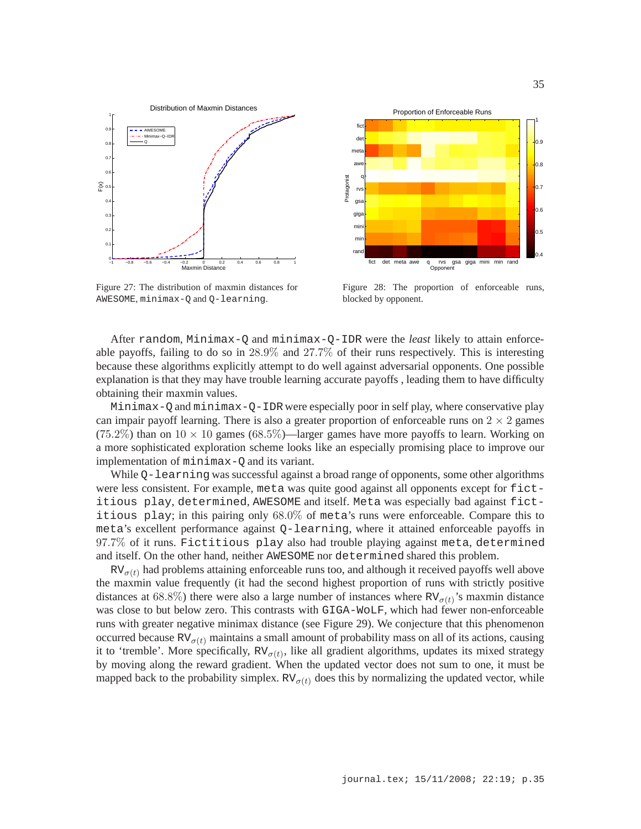

Figure 27: The distribution of maxmin distances for AWESOME, minimax-Q and Q-learning.



Figure 28: The proportion of enforceable runs, blocked by opponent.

After random, Minimax-Q and minimax-Q-IDR were the *least* likely to attain enforceable payoffs, failing to do so in 28.9% and 27.7% of their runs respectively. This is interesting because these algorithms explicitly attempt to do well against adversarial opponents. One possible explanation is that they may have trouble learning accurate payoffs , leading them to have difficulty obtaining their maxmin values.

Minimax-Q and minimax-Q-IDR were especially poor in self play, where conservative play can impair payoff learning. There is also a greater proportion of enforceable runs on  $2 \times 2$  games (75.2%) than on  $10 \times 10$  games (68.5%)—larger games have more payoffs to learn. Working on a more sophisticated exploration scheme looks like an especially promising place to improve our implementation of minimax-Q and its variant.

While Q-learning was successful against a broad range of opponents, some other algorithms were less consistent. For example, meta was quite good against all opponents except for fictitious play, determined, AWESOME and itself. Meta was especially bad against fictitious play; in this pairing only 68.0% of meta's runs were enforceable. Compare this to meta's excellent performance against Q-learning, where it attained enforceable payoffs in 97.7% of it runs. Fictitious play also had trouble playing against meta, determined and itself. On the other hand, neither AWESOME nor determined shared this problem.

 $RV_{\sigma(t)}$  had problems attaining enforceable runs too, and although it received payoffs well above the maxmin value frequently (it had the second highest proportion of runs with strictly positive distances at 68.8%) there were also a large number of instances where  $RV_{\sigma(t)}$ 's maxmin distance was close to but below zero. This contrasts with GIGA-WoLF, which had fewer non-enforceable runs with greater negative minimax distance (see Figure 29). We conjecture that this phenomenon occurred because  $RV_{\sigma(t)}$  maintains a small amount of probability mass on all of its actions, causing it to 'tremble'. More specifically,  $RV_{\sigma(t)}$ , like all gradient algorithms, updates its mixed strategy by moving along the reward gradient. When the updated vector does not sum to one, it must be mapped back to the probability simplex.  $RV_{\sigma(t)}$  does this by normalizing the updated vector, while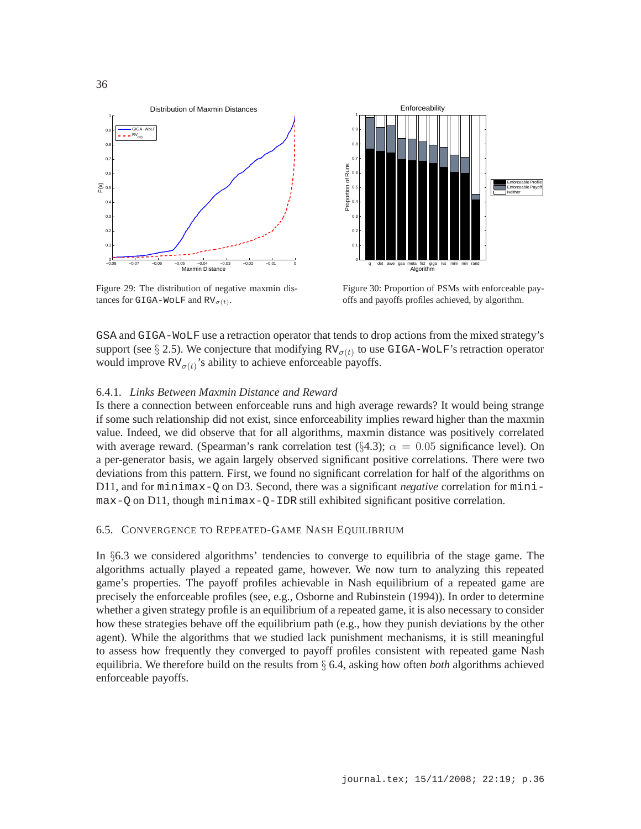

Figure 29: The distribution of negative maxmin distances for GIGA-WOLF and  $RV_{\sigma(t)}$ .



Figure 30: Proportion of PSMs with enforceable payoffs and payoffs profiles achieved, by algorithm.

GSA and GIGA-WoLF use a retraction operator that tends to drop actions from the mixed strategy's support (see  $\S 2.5$ ). We conjecture that modifying RV<sub> $\sigma(t)$ </sub> to use GIGA-WOLF's retraction operator would improve  $RV_{\sigma(t)}$ 's ability to achieve enforceable payoffs.

#### 6.4.1. *Links Between Maxmin Distance and Reward*

Is there a connection between enforceable runs and high average rewards? It would being strange if some such relationship did not exist, since enforceability implies reward higher than the maxmin value. Indeed, we did observe that for all algorithms, maxmin distance was positively correlated with average reward. (Spearman's rank correlation test (§4.3);  $\alpha = 0.05$  significance level). On a per-generator basis, we again largely observed significant positive correlations. There were two deviations from this pattern. First, we found no significant correlation for half of the algorithms on D11, and for minimax-Q on D3. Second, there was a significant *negative* correlation for minimax-Q on D11, though minimax-Q-IDR still exhibited significant positive correlation.

# 6.5. CONVERGENCE TO REPEATED-GAME NASH EQUILIBRIUM

In §6.3 we considered algorithms' tendencies to converge to equilibria of the stage game. The algorithms actually played a repeated game, however. We now turn to analyzing this repeated game's properties. The payoff profiles achievable in Nash equilibrium of a repeated game are precisely the enforceable profiles (see, e.g., Osborne and Rubinstein (1994)). In order to determine whether a given strategy profile is an equilibrium of a repeated game, it is also necessary to consider how these strategies behave off the equilibrium path (e.g., how they punish deviations by the other agent). While the algorithms that we studied lack punishment mechanisms, it is still meaningful to assess how frequently they converged to payoff profiles consistent with repeated game Nash equilibria. We therefore build on the results from § 6.4, asking how often *both* algorithms achieved enforceable payoffs.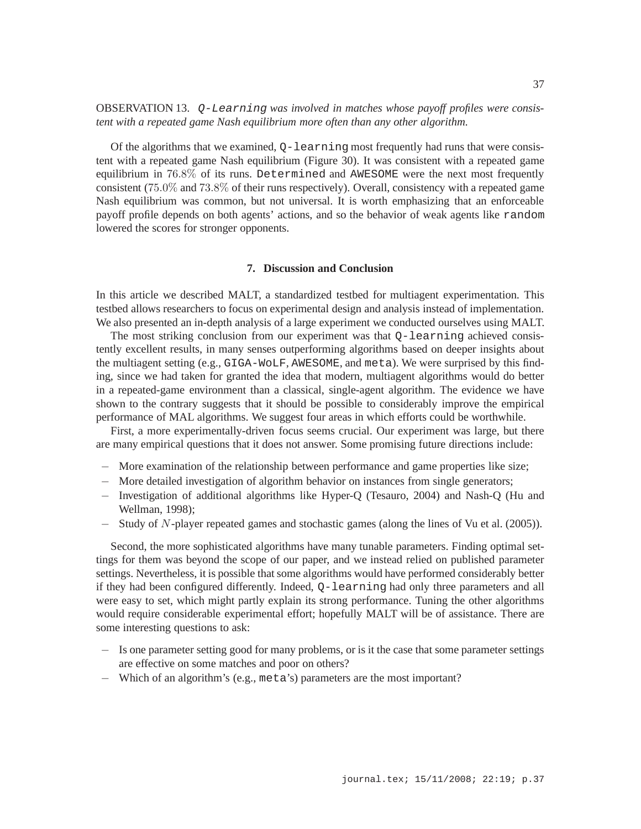# OBSERVATION 13. Q-Learning *was involved in matches whose payoff profiles were consistent with a repeated game Nash equilibrium more often than any other algorithm.*

Of the algorithms that we examined,  $Q$ -learning most frequently had runs that were consistent with a repeated game Nash equilibrium (Figure 30). It was consistent with a repeated game equilibrium in 76.8% of its runs. Determined and AWESOME were the next most frequently consistent (75.0% and 73.8% of their runs respectively). Overall, consistency with a repeated game Nash equilibrium was common, but not universal. It is worth emphasizing that an enforceable payoff profile depends on both agents' actions, and so the behavior of weak agents like random lowered the scores for stronger opponents.

## **7. Discussion and Conclusion**

In this article we described MALT, a standardized testbed for multiagent experimentation. This testbed allows researchers to focus on experimental design and analysis instead of implementation. We also presented an in-depth analysis of a large experiment we conducted ourselves using MALT.

The most striking conclusion from our experiment was that Q-learning achieved consistently excellent results, in many senses outperforming algorithms based on deeper insights about the multiagent setting (e.g., GIGA-WoLF, AWESOME, and meta). We were surprised by this finding, since we had taken for granted the idea that modern, multiagent algorithms would do better in a repeated-game environment than a classical, single-agent algorithm. The evidence we have shown to the contrary suggests that it should be possible to considerably improve the empirical performance of MAL algorithms. We suggest four areas in which efforts could be worthwhile.

First, a more experimentally-driven focus seems crucial. Our experiment was large, but there are many empirical questions that it does not answer. Some promising future directions include:

- − More examination of the relationship between performance and game properties like size;
- − More detailed investigation of algorithm behavior on instances from single generators;
- − Investigation of additional algorithms like Hyper-Q (Tesauro, 2004) and Nash-Q (Hu and Wellman, 1998);
- − Study of N-player repeated games and stochastic games (along the lines of Vu et al. (2005)).

Second, the more sophisticated algorithms have many tunable parameters. Finding optimal settings for them was beyond the scope of our paper, and we instead relied on published parameter settings. Nevertheless, it is possible that some algorithms would have performed considerably better if they had been configured differently. Indeed, Q-learning had only three parameters and all were easy to set, which might partly explain its strong performance. Tuning the other algorithms would require considerable experimental effort; hopefully MALT will be of assistance. There are some interesting questions to ask:

- − Is one parameter setting good for many problems, or is it the case that some parameter settings are effective on some matches and poor on others?
- − Which of an algorithm's (e.g., meta's) parameters are the most important?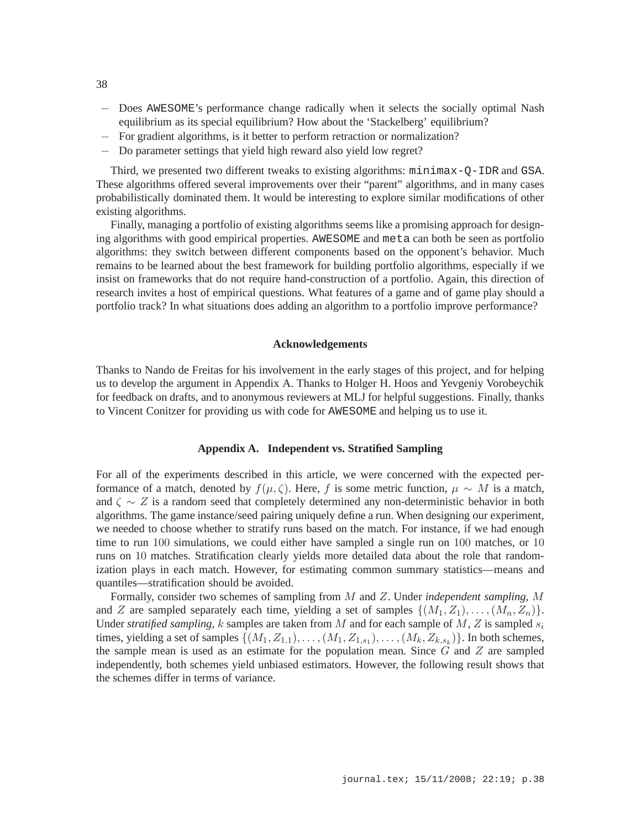- − Does AWESOME's performance change radically when it selects the socially optimal Nash equilibrium as its special equilibrium? How about the 'Stackelberg' equilibrium?
- − For gradient algorithms, is it better to perform retraction or normalization?
- − Do parameter settings that yield high reward also yield low regret?

Third, we presented two different tweaks to existing algorithms: minimax-Q-IDR and GSA. These algorithms offered several improvements over their "parent" algorithms, and in many cases probabilistically dominated them. It would be interesting to explore similar modifications of other existing algorithms.

Finally, managing a portfolio of existing algorithms seems like a promising approach for designing algorithms with good empirical properties. AWESOME and meta can both be seen as portfolio algorithms: they switch between different components based on the opponent's behavior. Much remains to be learned about the best framework for building portfolio algorithms, especially if we insist on frameworks that do not require hand-construction of a portfolio. Again, this direction of research invites a host of empirical questions. What features of a game and of game play should a portfolio track? In what situations does adding an algorithm to a portfolio improve performance?

### **Acknowledgements**

Thanks to Nando de Freitas for his involvement in the early stages of this project, and for helping us to develop the argument in Appendix A. Thanks to Holger H. Hoos and Yevgeniy Vorobeychik for feedback on drafts, and to anonymous reviewers at MLJ for helpful suggestions. Finally, thanks to Vincent Conitzer for providing us with code for AWESOME and helping us to use it.

# **Appendix A. Independent vs. Stratified Sampling**

For all of the experiments described in this article, we were concerned with the expected performance of a match, denoted by  $f(\mu, \zeta)$ . Here, f is some metric function,  $\mu \sim M$  is a match, and  $\zeta \sim Z$  is a random seed that completely determined any non-deterministic behavior in both algorithms. The game instance/seed pairing uniquely define a run. When designing our experiment, we needed to choose whether to stratify runs based on the match. For instance, if we had enough time to run 100 simulations, we could either have sampled a single run on 100 matches, or 10 runs on 10 matches. Stratification clearly yields more detailed data about the role that randomization plays in each match. However, for estimating common summary statistics—means and quantiles—stratification should be avoided.

Formally, consider two schemes of sampling from M and Z. Under *independent sampling*, M and Z are sampled separately each time, yielding a set of samples  $\{(M_1, Z_1), \ldots, (M_n, Z_n)\}.$ Under *stratified sampling*, k samples are taken from M and for each sample of M, Z is sampled  $s_i$ times, yielding a set of samples  $\{(M_1, Z_{1,1}), \ldots, (M_1, Z_{1,s_1}), \ldots, (M_k, Z_{k,s_k})\}$ . In both schemes, the sample mean is used as an estimate for the population mean. Since  $G$  and  $Z$  are sampled independently, both schemes yield unbiased estimators. However, the following result shows that the schemes differ in terms of variance.

38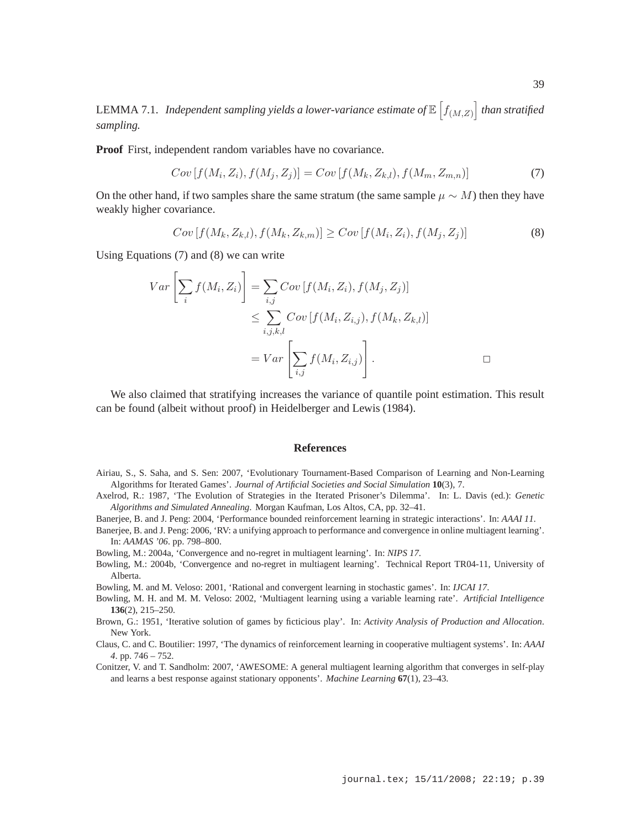LEMMA 7.1. Independent sampling yields a lower-variance estimate of  $\mathbb{E}\left[f_{(M,Z)}\right]$  than stratified *sampling.*

**Proof** First, independent random variables have no covariance.

$$
Cov[f(M_i, Z_i), f(M_j, Z_j)] = Cov[f(M_k, Z_{k,l}), f(M_m, Z_{m,n})]
$$
\n(7)

On the other hand, if two samples share the same stratum (the same sample  $\mu \sim M$ ) then they have weakly higher covariance.

$$
Cov[f(M_k, Z_{k,l}), f(M_k, Z_{k,m})] \ge Cov[f(M_i, Z_i), f(M_j, Z_j)]
$$
\n(8)

Using Equations (7) and (8) we can write

$$
Var\left[\sum_{i} f(M_i, Z_i)\right] = \sum_{i,j} Cov\left[f(M_i, Z_i), f(M_j, Z_j)\right]
$$
  

$$
\leq \sum_{i,j,k,l} Cov\left[f(M_i, Z_{i,j}), f(M_k, Z_{k,l})\right]
$$
  

$$
= Var\left[\sum_{i,j} f(M_i, Z_{i,j})\right].
$$

We also claimed that stratifying increases the variance of quantile point estimation. This result can be found (albeit without proof) in Heidelberger and Lewis (1984).

#### **References**

- Airiau, S., S. Saha, and S. Sen: 2007, 'Evolutionary Tournament-Based Comparison of Learning and Non-Learning Algorithms for Iterated Games'. *Journal of Artificial Societies and Social Simulation* **10**(3), 7.
- Axelrod, R.: 1987, 'The Evolution of Strategies in the Iterated Prisoner's Dilemma'. In: L. Davis (ed.): *Genetic Algorithms and Simulated Annealing*. Morgan Kaufman, Los Altos, CA, pp. 32–41.

Banerjee, B. and J. Peng: 2004, 'Performance bounded reinforcement learning in strategic interactions'. In: *AAAI 11*.

Banerjee, B. and J. Peng: 2006, 'RV: a unifying approach to performance and convergence in online multiagent learning'. In: *AAMAS '06*. pp. 798–800.

Bowling, M.: 2004a, 'Convergence and no-regret in multiagent learning'. In: *NIPS 17*.

- Bowling, M.: 2004b, 'Convergence and no-regret in multiagent learning'. Technical Report TR04-11, University of Alberta.
- Bowling, M. and M. Veloso: 2001, 'Rational and convergent learning in stochastic games'. In: *IJCAI 17*.
- Bowling, M. H. and M. M. Veloso: 2002, 'Multiagent learning using a variable learning rate'. *Artificial Intelligence* **136**(2), 215–250.
- Brown, G.: 1951, 'Iterative solution of games by ficticious play'. In: *Activity Analysis of Production and Allocation*. New York.
- Claus, C. and C. Boutilier: 1997, 'The dynamics of reinforcement learning in cooperative multiagent systems'. In: *AAAI 4*. pp. 746 – 752.
- Conitzer, V. and T. Sandholm: 2007, 'AWESOME: A general multiagent learning algorithm that converges in self-play and learns a best response against stationary opponents'. *Machine Learning* **67**(1), 23–43.